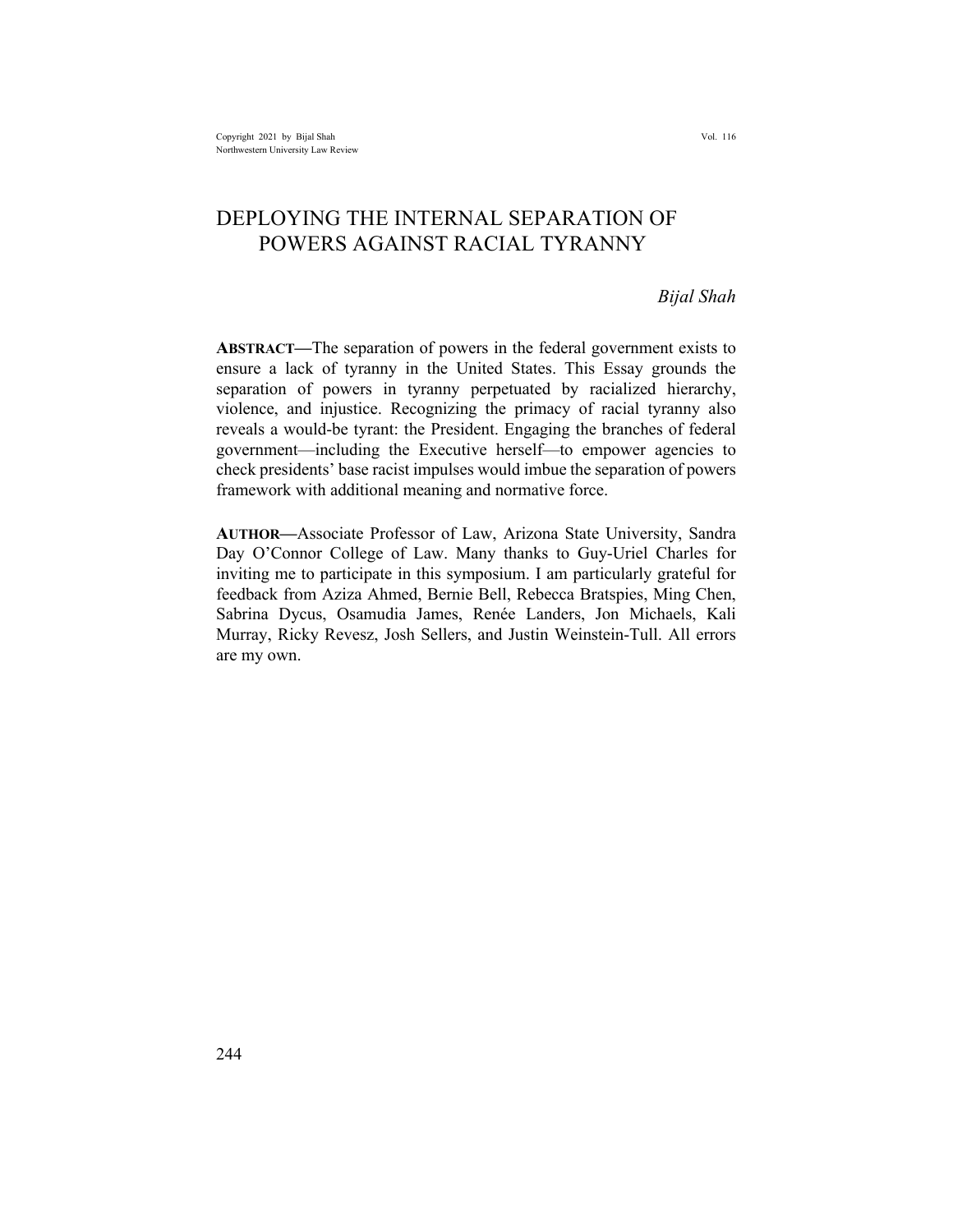# DEPLOYING THE INTERNAL SEPARATION OF POWERS AGAINST RACIAL TYRANNY

#### *Bijal Shah*

**ABSTRACT—**The separation of powers in the federal government exists to ensure a lack of tyranny in the United States. This Essay grounds the separation of powers in tyranny perpetuated by racialized hierarchy, violence, and injustice. Recognizing the primacy of racial tyranny also reveals a would-be tyrant: the President. Engaging the branches of federal government—including the Executive herself—to empower agencies to check presidents' base racist impulses would imbue the separation of powers framework with additional meaning and normative force.

**AUTHOR—**Associate Professor of Law, Arizona State University, Sandra Day O'Connor College of Law. Many thanks to Guy-Uriel Charles for inviting me to participate in this symposium. I am particularly grateful for feedback from Aziza Ahmed, Bernie Bell, Rebecca Bratspies, Ming Chen, Sabrina Dycus, Osamudia James, Renée Landers, Jon Michaels, Kali Murray, Ricky Revesz, Josh Sellers, and Justin Weinstein-Tull. All errors are my own.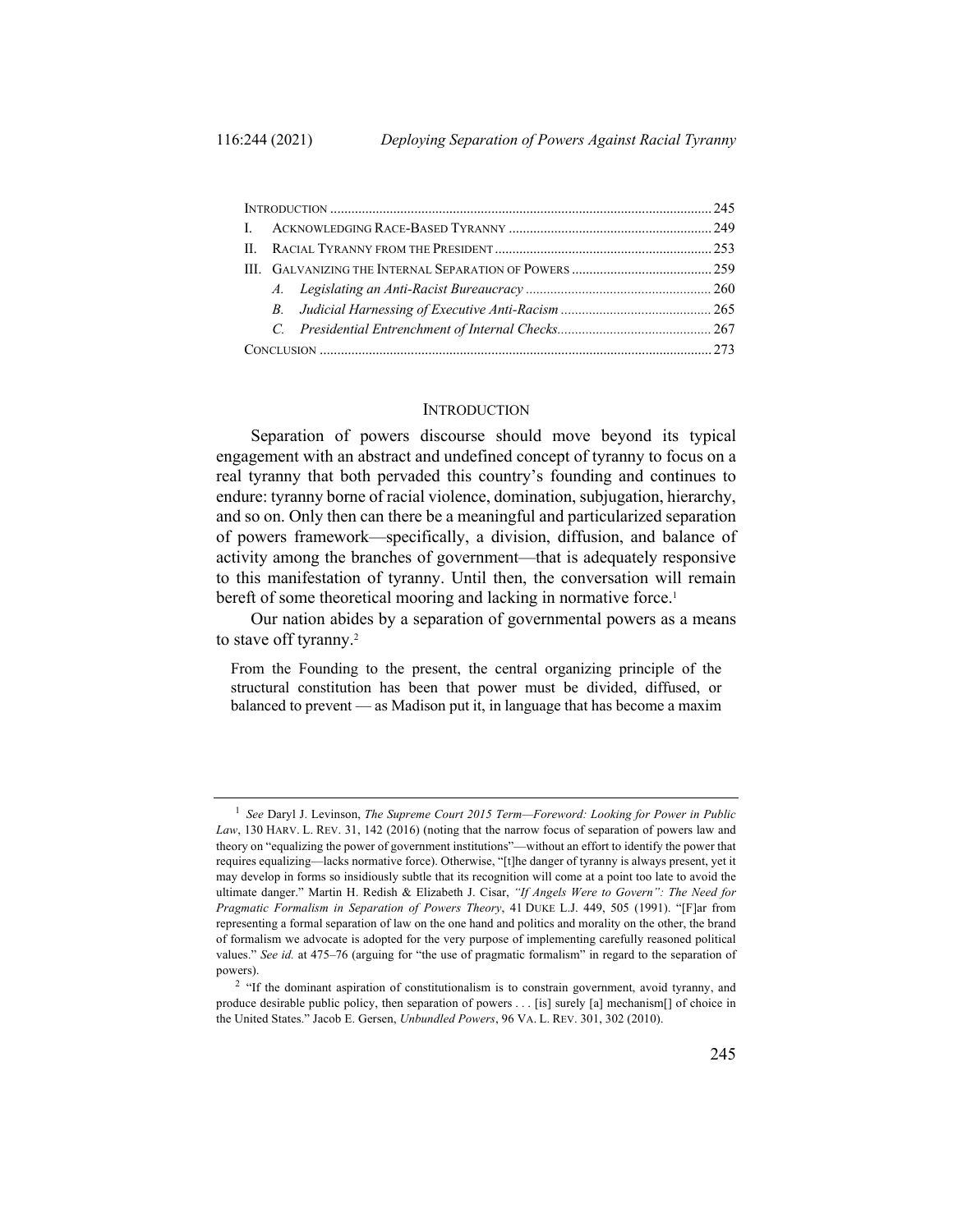#### **INTRODUCTION**

Separation of powers discourse should move beyond its typical engagement with an abstract and undefined concept of tyranny to focus on a real tyranny that both pervaded this country's founding and continues to endure: tyranny borne of racial violence, domination, subjugation, hierarchy, and so on. Only then can there be a meaningful and particularized separation of powers framework—specifically, a division, diffusion, and balance of activity among the branches of government—that is adequately responsive to this manifestation of tyranny. Until then, the conversation will remain bereft of some theoretical mooring and lacking in normative force.<sup>1</sup>

Our nation abides by a separation of governmental powers as a means to stave off tyranny.<sup>2</sup>

From the Founding to the present, the central organizing principle of the structural constitution has been that power must be divided, diffused, or balanced to prevent — as Madison put it, in language that has become a maxim

<sup>1</sup> *See* Daryl J. Levinson, *The Supreme Court 2015 Term—Foreword: Looking for Power in Public Law*, 130 HARV. L. REV. 31, 142 (2016) (noting that the narrow focus of separation of powers law and theory on "equalizing the power of government institutions"—without an effort to identify the power that requires equalizing—lacks normative force). Otherwise, "[t]he danger of tyranny is always present, yet it may develop in forms so insidiously subtle that its recognition will come at a point too late to avoid the ultimate danger." Martin H. Redish & Elizabeth J. Cisar, *"If Angels Were to Govern": The Need for Pragmatic Formalism in Separation of Powers Theory*, 41 DUKE L.J. 449, 505 (1991). "[F]ar from representing a formal separation of law on the one hand and politics and morality on the other, the brand of formalism we advocate is adopted for the very purpose of implementing carefully reasoned political values." *See id.* at 475–76 (arguing for "the use of pragmatic formalism" in regard to the separation of powers).

<sup>&</sup>lt;sup>2</sup> "If the dominant aspiration of constitutionalism is to constrain government, avoid tyranny, and produce desirable public policy, then separation of powers . . . [is] surely [a] mechanism[] of choice in the United States." Jacob E. Gersen, *Unbundled Powers*, 96 VA. L. REV. 301, 302 (2010).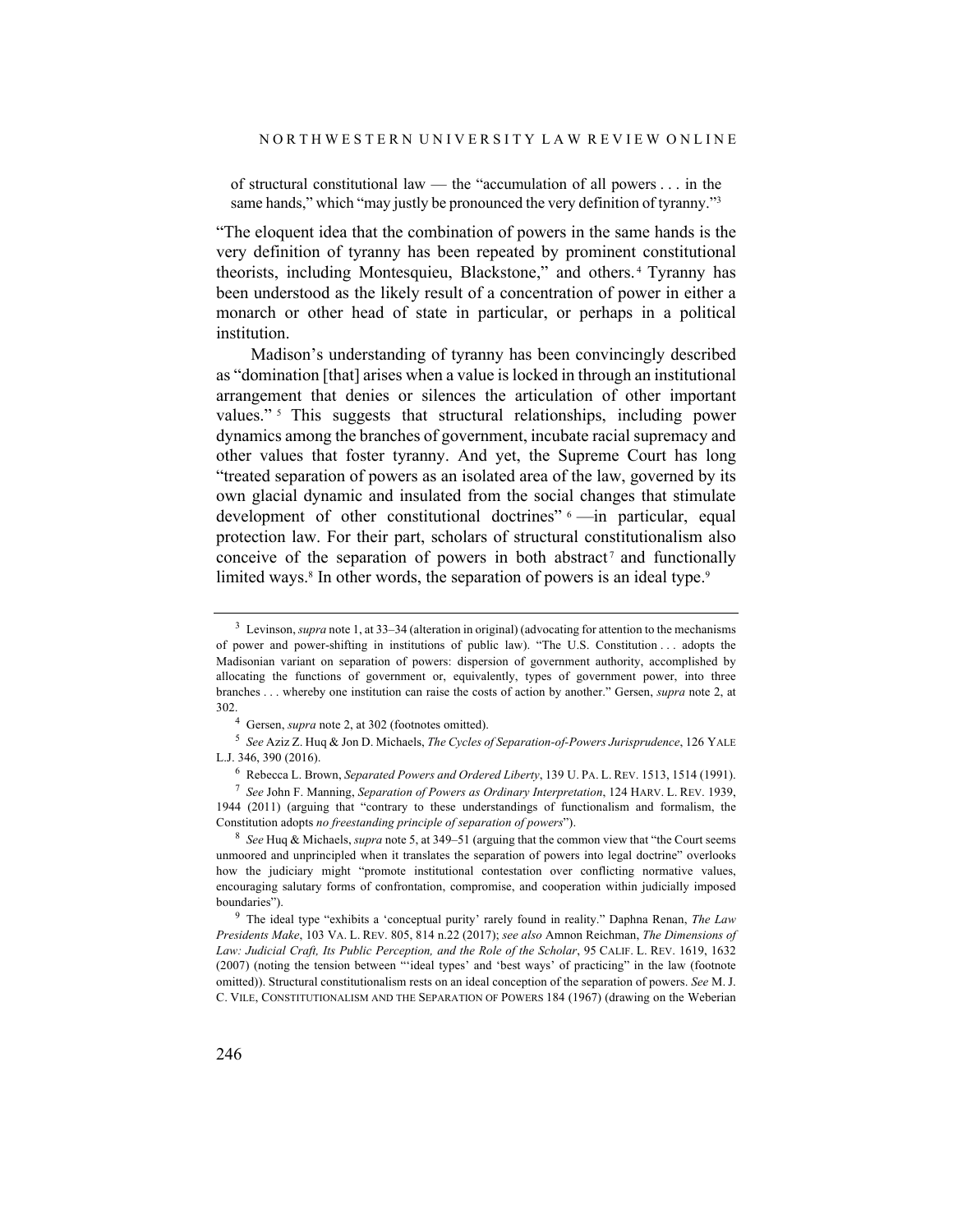of structural constitutional law — the "accumulation of all powers . . . in the same hands," which "may justly be pronounced the very definition of tyranny."<sup>3</sup>

"The eloquent idea that the combination of powers in the same hands is the very definition of tyranny has been repeated by prominent constitutional theorists, including Montesquieu, Blackstone," and others. <sup>4</sup> Tyranny has been understood as the likely result of a concentration of power in either a monarch or other head of state in particular, or perhaps in a political institution.

Madison's understanding of tyranny has been convincingly described as "domination [that] arises when a value is locked in through an institutional arrangement that denies or silences the articulation of other important values."<sup>5</sup> This suggests that structural relationships, including power dynamics among the branches of government, incubate racial supremacy and other values that foster tyranny. And yet, the Supreme Court has long "treated separation of powers as an isolated area of the law, governed by its own glacial dynamic and insulated from the social changes that stimulate development of other constitutional doctrines" <sup>6</sup> —in particular, equal protection law. For their part, scholars of structural constitutionalism also conceive of the separation of powers in both abstract<sup>7</sup> and functionally limited ways.<sup>8</sup> In other words, the separation of powers is an ideal type.<sup>9</sup>

<sup>3</sup> Levinson, *supra* note 1, at 33–34 (alteration in original) (advocating for attention to the mechanisms of power and power-shifting in institutions of public law). "The U.S. Constitution . . . adopts the Madisonian variant on separation of powers: dispersion of government authority, accomplished by allocating the functions of government or, equivalently, types of government power, into three branches . . . whereby one institution can raise the costs of action by another." Gersen, *supra* note 2, at 302.

<sup>4</sup> Gersen, *supra* note 2, at 302 (footnotes omitted).

<sup>5</sup> *See* Aziz Z. Huq & Jon D. Michaels, *The Cycles of Separation-of-Powers Jurisprudence*, 126 YALE L.J. 346, 390 (2016).

<sup>6</sup> Rebecca L. Brown, *Separated Powers and Ordered Liberty*, 139 U. PA. L. REV. 1513, 1514 (1991).

<sup>7</sup> *See* John F. Manning, *Separation of Powers as Ordinary Interpretation*, 124 HARV. L. REV. 1939, 1944 (2011) (arguing that "contrary to these understandings of functionalism and formalism, the Constitution adopts *no freestanding principle of separation of powers*").

<sup>8</sup> *See* Huq & Michaels, *supra* note 5, at 349–51 (arguing that the common view that "the Court seems unmoored and unprincipled when it translates the separation of powers into legal doctrine" overlooks how the judiciary might "promote institutional contestation over conflicting normative values, encouraging salutary forms of confrontation, compromise, and cooperation within judicially imposed boundaries").

<sup>9</sup> The ideal type "exhibits a 'conceptual purity' rarely found in reality." Daphna Renan, *The Law Presidents Make*, 103 VA. L. REV. 805, 814 n.22 (2017); *see also* Amnon Reichman, *The Dimensions of Law: Judicial Craft, Its Public Perception, and the Role of the Scholar*, 95 CALIF. L. REV. 1619, 1632 (2007) (noting the tension between "'ideal types' and 'best ways' of practicing" in the law (footnote omitted)). Structural constitutionalism rests on an ideal conception of the separation of powers. *See* M. J. C. VILE, CONSTITUTIONALISM AND THE SEPARATION OF POWERS 184 (1967) (drawing on the Weberian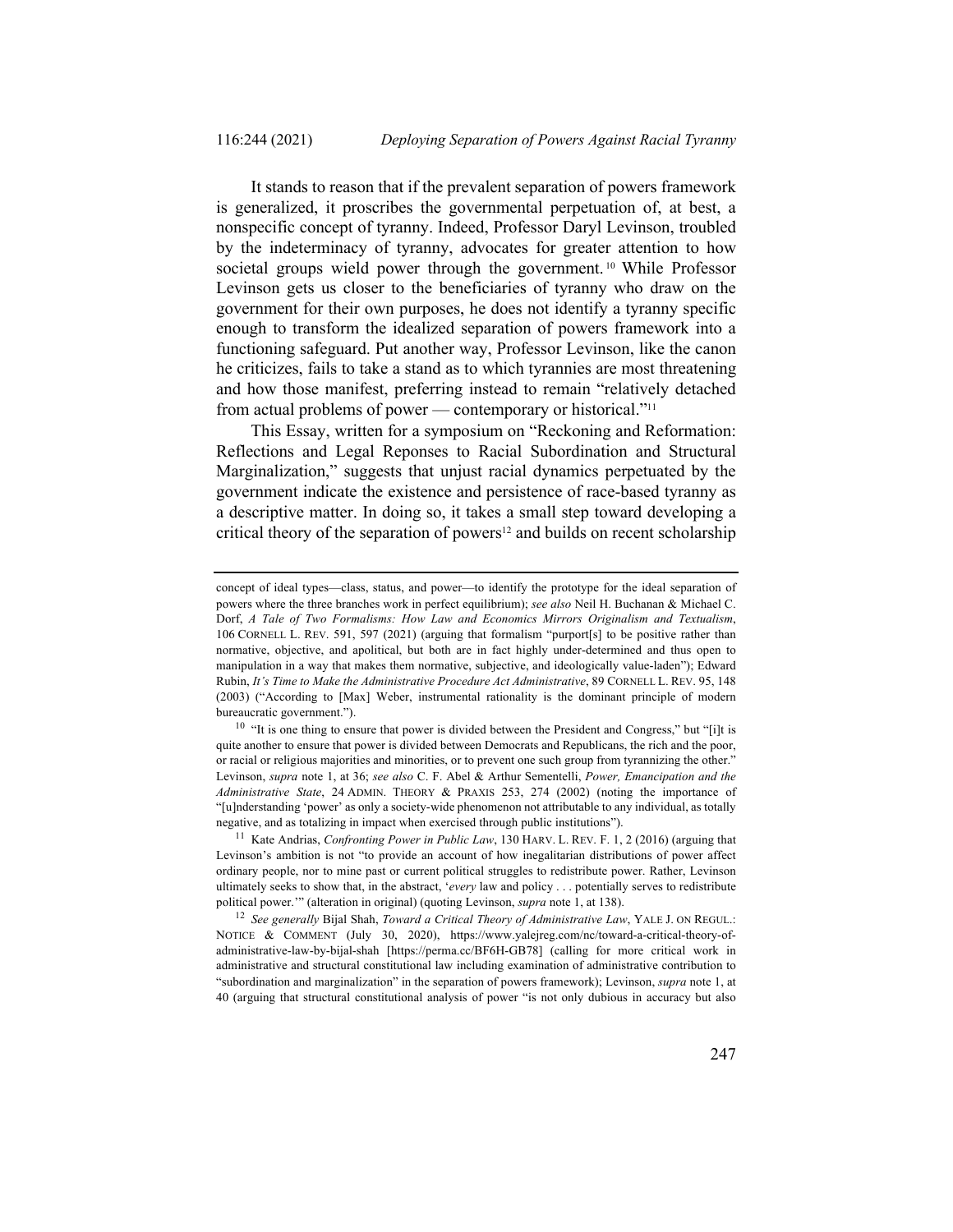It stands to reason that if the prevalent separation of powers framework is generalized, it proscribes the governmental perpetuation of, at best, a nonspecific concept of tyranny. Indeed, Professor Daryl Levinson, troubled by the indeterminacy of tyranny, advocates for greater attention to how societal groups wield power through the government.<sup>10</sup> While Professor Levinson gets us closer to the beneficiaries of tyranny who draw on the government for their own purposes, he does not identify a tyranny specific enough to transform the idealized separation of powers framework into a functioning safeguard. Put another way, Professor Levinson, like the canon he criticizes, fails to take a stand as to which tyrannies are most threatening and how those manifest, preferring instead to remain "relatively detached from actual problems of power — contemporary or historical."<sup>11</sup>

This Essay, written for a symposium on "Reckoning and Reformation: Reflections and Legal Reponses to Racial Subordination and Structural Marginalization," suggests that unjust racial dynamics perpetuated by the government indicate the existence and persistence of race-based tyranny as a descriptive matter. In doing so, it takes a small step toward developing a critical theory of the separation of powers<sup>12</sup> and builds on recent scholarship

concept of ideal types—class, status, and power—to identify the prototype for the ideal separation of powers where the three branches work in perfect equilibrium); *see also* Neil H. Buchanan & Michael C. Dorf, *A Tale of Two Formalisms: How Law and Economics Mirrors Originalism and Textualism*, 106 CORNELL L. REV. 591, 597 (2021) (arguing that formalism "purport[s] to be positive rather than normative, objective, and apolitical, but both are in fact highly under-determined and thus open to manipulation in a way that makes them normative, subjective, and ideologically value-laden"); Edward Rubin, *It's Time to Make the Administrative Procedure Act Administrative*, 89 CORNELL L. REV. 95, 148 (2003) ("According to [Max] Weber, instrumental rationality is the dominant principle of modern bureaucratic government.").

<sup>&</sup>lt;sup>10</sup> "It is one thing to ensure that power is divided between the President and Congress," but "[i]t is quite another to ensure that power is divided between Democrats and Republicans, the rich and the poor, or racial or religious majorities and minorities, or to prevent one such group from tyrannizing the other." Levinson, *supra* note 1, at 36; *see also* C. F. Abel & Arthur Sementelli, *Power, Emancipation and the Administrative State*, 24 ADMIN. THEORY & PRAXIS 253, 274 (2002) (noting the importance of "[u]nderstanding 'power' as only a society-wide phenomenon not attributable to any individual, as totally negative, and as totalizing in impact when exercised through public institutions").

<sup>11</sup> Kate Andrias, *Confronting Power in Public Law*, 130 HARV. L. REV. F. 1, 2 (2016) (arguing that Levinson's ambition is not "to provide an account of how inegalitarian distributions of power affect ordinary people, nor to mine past or current political struggles to redistribute power. Rather, Levinson ultimately seeks to show that, in the abstract, '*every* law and policy . . . potentially serves to redistribute political power.'" (alteration in original) (quoting Levinson, *supra* note 1, at 138).

<sup>12</sup> *See generally* Bijal Shah, *Toward a Critical Theory of Administrative Law*, YALE J. ON REGUL.: NOTICE & COMMENT (July 30, 2020), https://www.yalejreg.com/nc/toward-a-critical-theory-ofadministrative-law-by-bijal-shah [https://perma.cc/BF6H-GB78] (calling for more critical work in administrative and structural constitutional law including examination of administrative contribution to "subordination and marginalization" in the separation of powers framework); Levinson, *supra* note 1, at 40 (arguing that structural constitutional analysis of power "is not only dubious in accuracy but also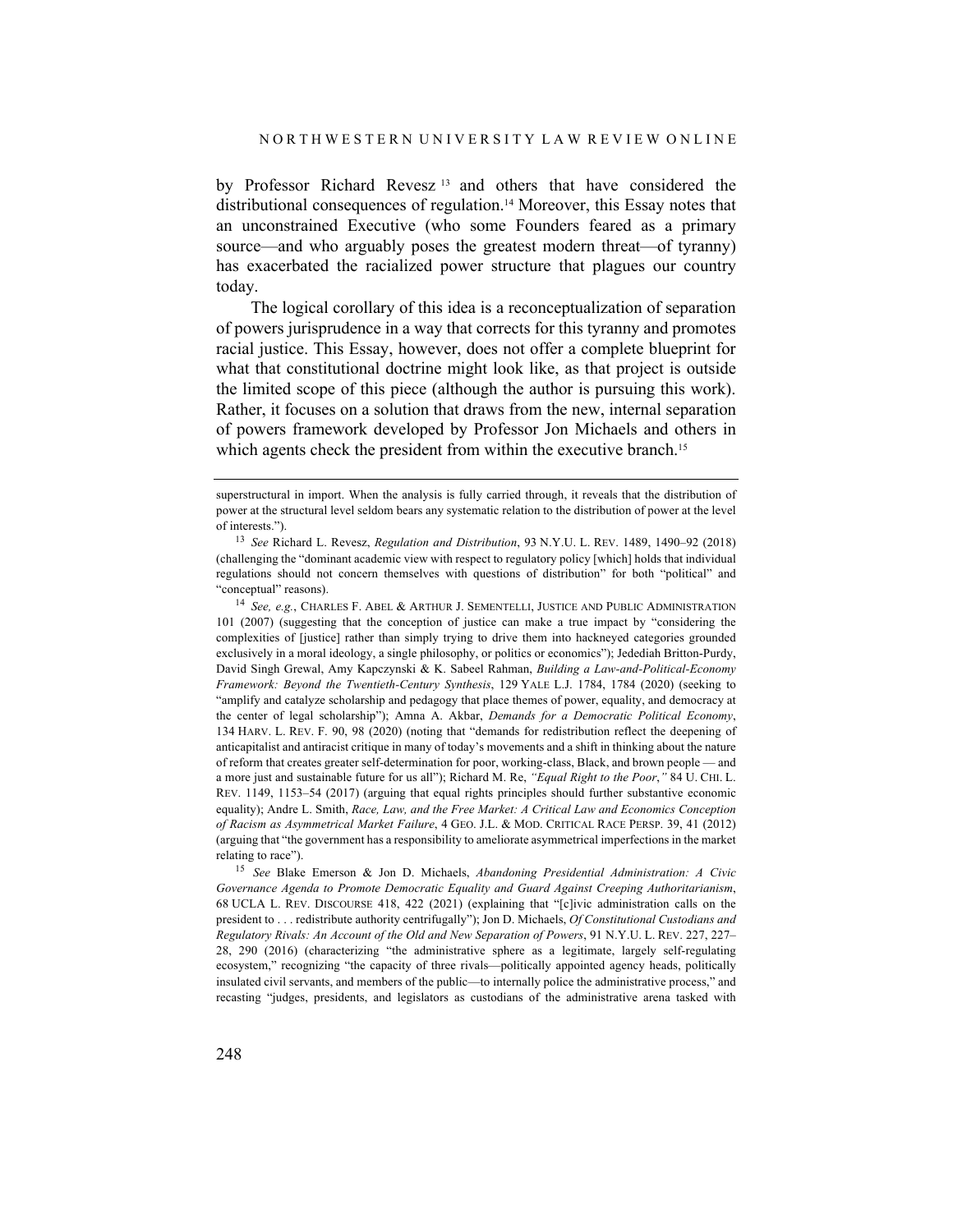by Professor Richard Revesz <sup>13</sup> and others that have considered the distributional consequences of regulation.14 Moreover, this Essay notes that an unconstrained Executive (who some Founders feared as a primary source—and who arguably poses the greatest modern threat—of tyranny) has exacerbated the racialized power structure that plagues our country today.

The logical corollary of this idea is a reconceptualization of separation of powers jurisprudence in a way that corrects for this tyranny and promotes racial justice. This Essay, however, does not offer a complete blueprint for what that constitutional doctrine might look like, as that project is outside the limited scope of this piece (although the author is pursuing this work). Rather, it focuses on a solution that draws from the new, internal separation of powers framework developed by Professor Jon Michaels and others in which agents check the president from within the executive branch.<sup>15</sup>

<sup>15</sup> *See* Blake Emerson & Jon D. Michaels, *Abandoning Presidential Administration: A Civic Governance Agenda to Promote Democratic Equality and Guard Against Creeping Authoritarianism*, 68 UCLA L. REV. DISCOURSE 418, 422 (2021) (explaining that "[c]ivic administration calls on the president to . . . redistribute authority centrifugally"); Jon D. Michaels, *Of Constitutional Custodians and Regulatory Rivals: An Account of the Old and New Separation of Powers*, 91 N.Y.U. L. REV. 227, 227– 28, 290 (2016) (characterizing "the administrative sphere as a legitimate, largely self-regulating ecosystem," recognizing "the capacity of three rivals—politically appointed agency heads, politically insulated civil servants, and members of the public—to internally police the administrative process," and recasting "judges, presidents, and legislators as custodians of the administrative arena tasked with

superstructural in import. When the analysis is fully carried through, it reveals that the distribution of power at the structural level seldom bears any systematic relation to the distribution of power at the level of interests.").

<sup>13</sup> *See* Richard L. Revesz, *Regulation and Distribution*, 93 N.Y.U. L. REV. 1489, 1490–92 (2018) (challenging the "dominant academic view with respect to regulatory policy [which] holds that individual regulations should not concern themselves with questions of distribution" for both "political" and "conceptual" reasons).

<sup>14</sup> *See, e.g.*, CHARLES F. ABEL & ARTHUR J. SEMENTELLI, JUSTICE AND PUBLIC ADMINISTRATION 101 (2007) (suggesting that the conception of justice can make a true impact by "considering the complexities of [justice] rather than simply trying to drive them into hackneyed categories grounded exclusively in a moral ideology, a single philosophy, or politics or economics"); Jedediah Britton-Purdy, David Singh Grewal, Amy Kapczynski & K. Sabeel Rahman, *Building a Law-and-Political-Economy Framework: Beyond the Twentieth-Century Synthesis*, 129 YALE L.J. 1784, 1784 (2020) (seeking to "amplify and catalyze scholarship and pedagogy that place themes of power, equality, and democracy at the center of legal scholarship"); Amna A. Akbar, *Demands for a Democratic Political Economy*, 134 HARV. L. REV. F. 90, 98 (2020) (noting that "demands for redistribution reflect the deepening of anticapitalist and antiracist critique in many of today's movements and a shift in thinking about the nature of reform that creates greater self-determination for poor, working-class, Black, and brown people — and a more just and sustainable future for us all"); Richard M. Re, *"Equal Right to the Poor*,*"* 84 U. CHI. L. REV. 1149, 1153–54 (2017) (arguing that equal rights principles should further substantive economic equality); Andre L. Smith, *Race, Law, and the Free Market: A Critical Law and Economics Conception of Racism as Asymmetrical Market Failure*, 4 GEO. J.L. & MOD. CRITICAL RACE PERSP. 39, 41 (2012) (arguing that "the government has a responsibility to ameliorate asymmetrical imperfections in the market relating to race").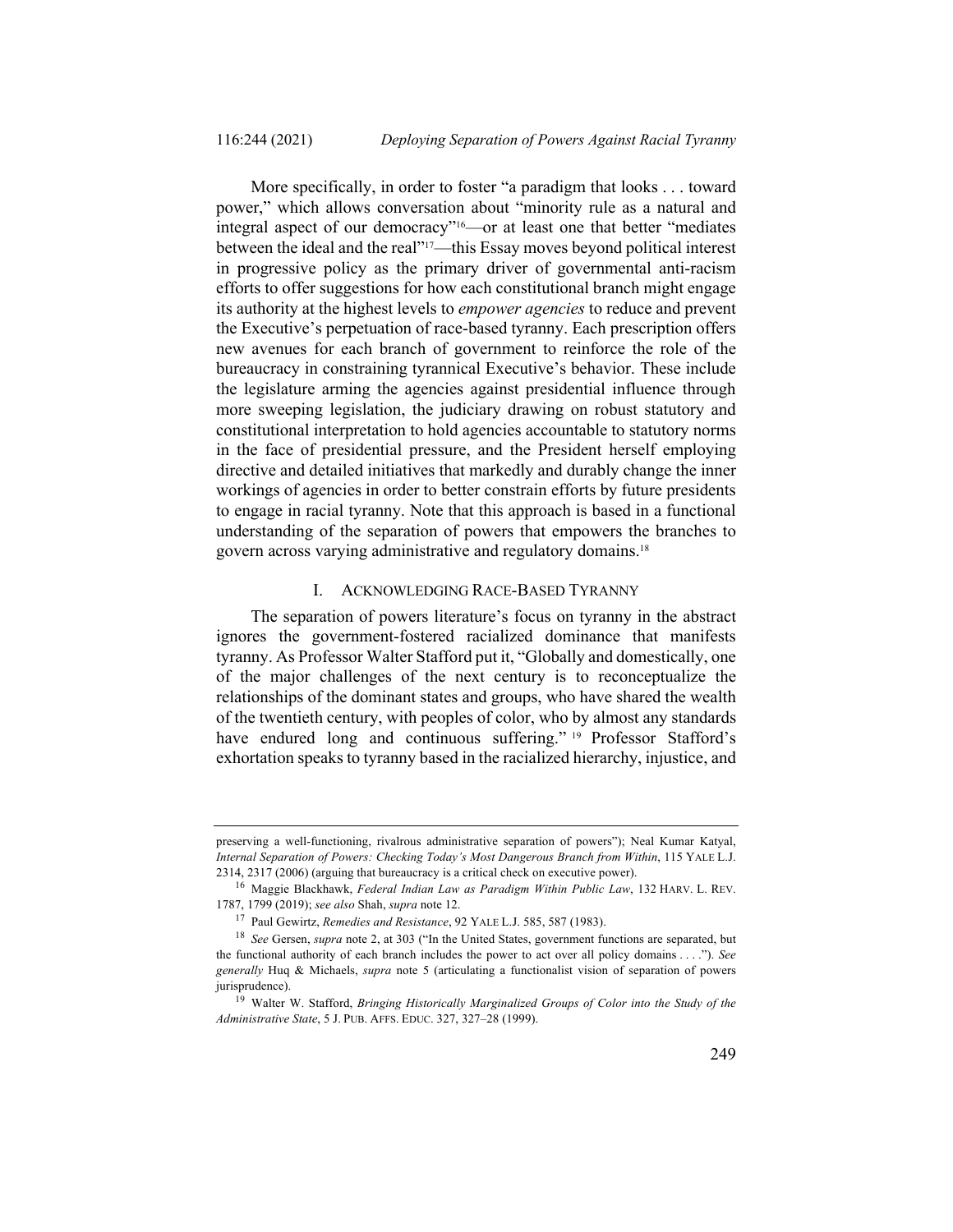More specifically, in order to foster "a paradigm that looks . . . toward power," which allows conversation about "minority rule as a natural and integral aspect of our democracy"16—or at least one that better "mediates between the ideal and the real"<sup>17</sup>—this Essay moves beyond political interest in progressive policy as the primary driver of governmental anti-racism efforts to offer suggestions for how each constitutional branch might engage its authority at the highest levels to *empower agencies* to reduce and prevent the Executive's perpetuation of race-based tyranny. Each prescription offers new avenues for each branch of government to reinforce the role of the bureaucracy in constraining tyrannical Executive's behavior. These include the legislature arming the agencies against presidential influence through more sweeping legislation, the judiciary drawing on robust statutory and constitutional interpretation to hold agencies accountable to statutory norms in the face of presidential pressure, and the President herself employing directive and detailed initiatives that markedly and durably change the inner workings of agencies in order to better constrain efforts by future presidents to engage in racial tyranny. Note that this approach is based in a functional understanding of the separation of powers that empowers the branches to govern across varying administrative and regulatory domains.18

#### I. ACKNOWLEDGING RACE-BASED TYRANNY

The separation of powers literature's focus on tyranny in the abstract ignores the government-fostered racialized dominance that manifests tyranny. As Professor Walter Stafford put it, "Globally and domestically, one of the major challenges of the next century is to reconceptualize the relationships of the dominant states and groups, who have shared the wealth of the twentieth century, with peoples of color, who by almost any standards have endured long and continuous suffering." <sup>19</sup> Professor Stafford's exhortation speaks to tyranny based in the racialized hierarchy, injustice, and

preserving a well-functioning, rivalrous administrative separation of powers"); Neal Kumar Katyal, *Internal Separation of Powers: Checking Today's Most Dangerous Branch from Within*, 115 YALE L.J. 2314, 2317 (2006) (arguing that bureaucracy is a critical check on executive power).

<sup>16</sup> Maggie Blackhawk, *Federal Indian Law as Paradigm Within Public Law*, 132 HARV. L. REV. 1787, 1799 (2019); *see also* Shah, *supra* note 12.

<sup>17</sup> Paul Gewirtz, *Remedies and Resistance*, 92 YALE L.J. 585, 587 (1983).

<sup>18</sup> *See* Gersen, *supra* note 2, at 303 ("In the United States, government functions are separated, but the functional authority of each branch includes the power to act over all policy domains . . . ."). *See generally* Huq & Michaels, *supra* note 5 (articulating a functionalist vision of separation of powers jurisprudence).

<sup>19</sup> Walter W. Stafford, *Bringing Historically Marginalized Groups of Color into the Study of the Administrative State*, 5 J. PUB. AFFS. EDUC. 327, 327–28 (1999).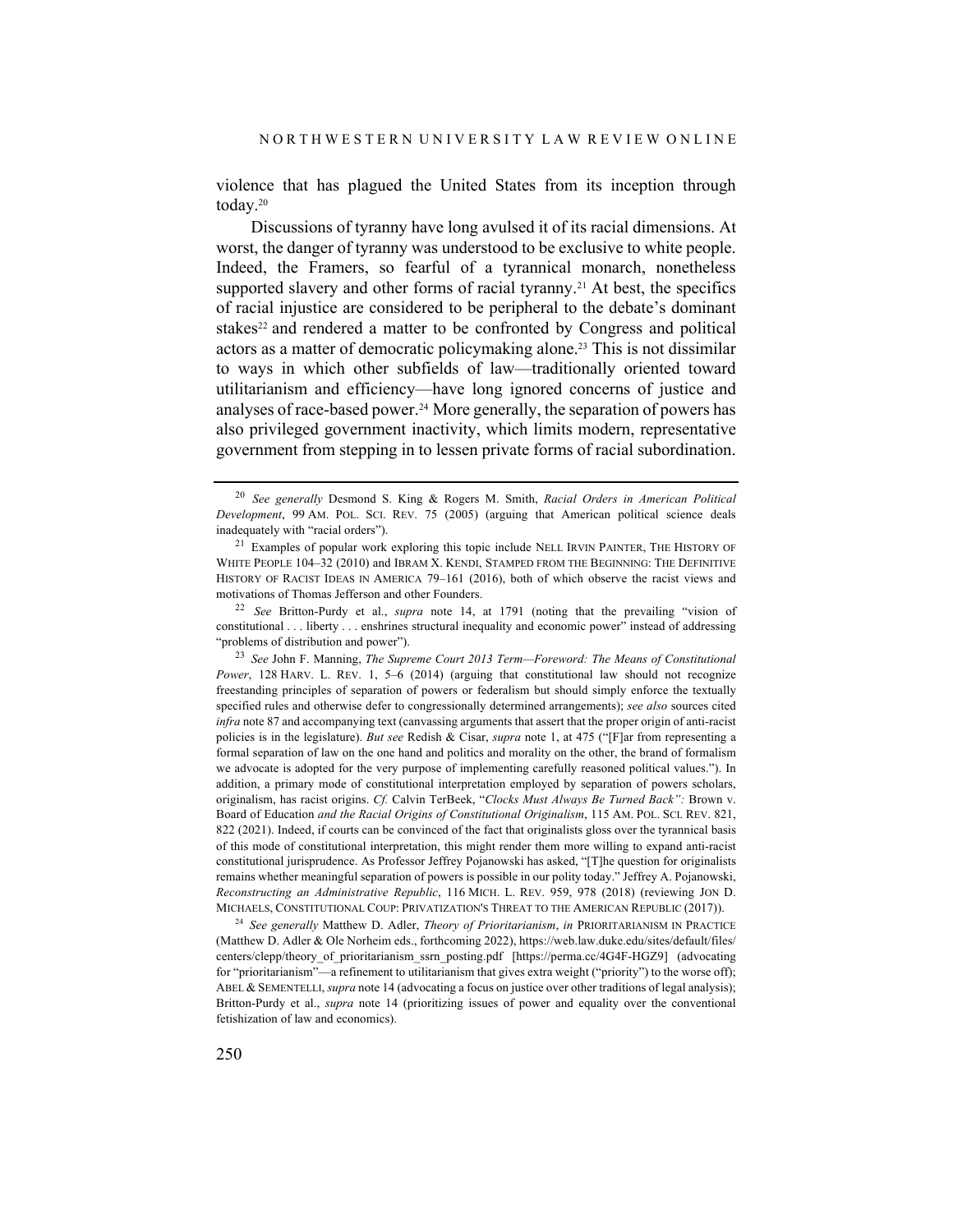violence that has plagued the United States from its inception through today.20

Discussions of tyranny have long avulsed it of its racial dimensions. At worst, the danger of tyranny was understood to be exclusive to white people. Indeed, the Framers, so fearful of a tyrannical monarch, nonetheless supported slavery and other forms of racial tyranny.<sup>21</sup> At best, the specifics of racial injustice are considered to be peripheral to the debate's dominant stakes<sup>22</sup> and rendered a matter to be confronted by Congress and political actors as a matter of democratic policymaking alone.23 This is not dissimilar to ways in which other subfields of law—traditionally oriented toward utilitarianism and efficiency—have long ignored concerns of justice and analyses of race-based power.24 More generally, the separation of powers has also privileged government inactivity, which limits modern, representative government from stepping in to lessen private forms of racial subordination.

<sup>22</sup> *See* Britton-Purdy et al., *supra* note 14, at 1791 (noting that the prevailing "vision of constitutional . . . liberty . . . enshrines structural inequality and economic power" instead of addressing "problems of distribution and power").

<sup>23</sup> *See* John F. Manning, *The Supreme Court 2013 Term—Foreword: The Means of Constitutional Power*, 128 HARV. L. REV. 1, 5–6 (2014) (arguing that constitutional law should not recognize freestanding principles of separation of powers or federalism but should simply enforce the textually specified rules and otherwise defer to congressionally determined arrangements); *see also* sources cited *infra* note 87 and accompanying text (canvassing arguments that assert that the proper origin of anti-racist policies is in the legislature). *But see* Redish & Cisar, *supra* note 1, at 475 ("[F]ar from representing a formal separation of law on the one hand and politics and morality on the other, the brand of formalism we advocate is adopted for the very purpose of implementing carefully reasoned political values."). In addition, a primary mode of constitutional interpretation employed by separation of powers scholars, originalism, has racist origins. *Cf.* Calvin TerBeek, "*Clocks Must Always Be Turned Back":* Brown v. Board of Education *and the Racial Origins of Constitutional Originalism*, 115 AM. POL. SCI. REV. 821, 822 (2021). Indeed, if courts can be convinced of the fact that originalists gloss over the tyrannical basis of this mode of constitutional interpretation, this might render them more willing to expand anti-racist constitutional jurisprudence. As Professor Jeffrey Pojanowski has asked, "[T]he question for originalists remains whether meaningful separation of powers is possible in our polity today." Jeffrey A. Pojanowski, *Reconstructing an Administrative Republic*, 116 MICH. L. REV. 959, 978 (2018) (reviewing JON D. MICHAELS, CONSTITUTIONAL COUP: PRIVATIZATION'S THREAT TO THE AMERICAN REPUBLIC (2017)).

<sup>24</sup> *See generally* Matthew D. Adler, *Theory of Prioritarianism*, *in* PRIORITARIANISM IN PRACTICE (Matthew D. Adler & Ole Norheim eds., forthcoming 2022), https://web.law.duke.edu/sites/default/files/ centers/clepp/theory of prioritarianism ssrn posting.pdf [https://perma.cc/4G4F-HGZ9] (advocating for "prioritarianism"—a refinement to utilitarianism that gives extra weight ("priority") to the worse off); ABEL & SEMENTELLI, *supra* note 14 (advocating a focus on justice over other traditions of legal analysis); Britton-Purdy et al., *supra* note 14 (prioritizing issues of power and equality over the conventional fetishization of law and economics).

<sup>20</sup> *See generally* Desmond S. King & Rogers M. Smith, *Racial Orders in American Political Development*, 99 AM. POL. SCI. REV. 75 (2005) (arguing that American political science deals inadequately with "racial orders").

<sup>&</sup>lt;sup>21</sup> Examples of popular work exploring this topic include NELL IRVIN PAINTER, THE HISTORY OF WHITE PEOPLE 104–32 (2010) and IBRAM X. KENDI, STAMPED FROM THE BEGINNING: THE DEFINITIVE HISTORY OF RACIST IDEAS IN AMERICA 79–161 (2016), both of which observe the racist views and motivations of Thomas Jefferson and other Founders.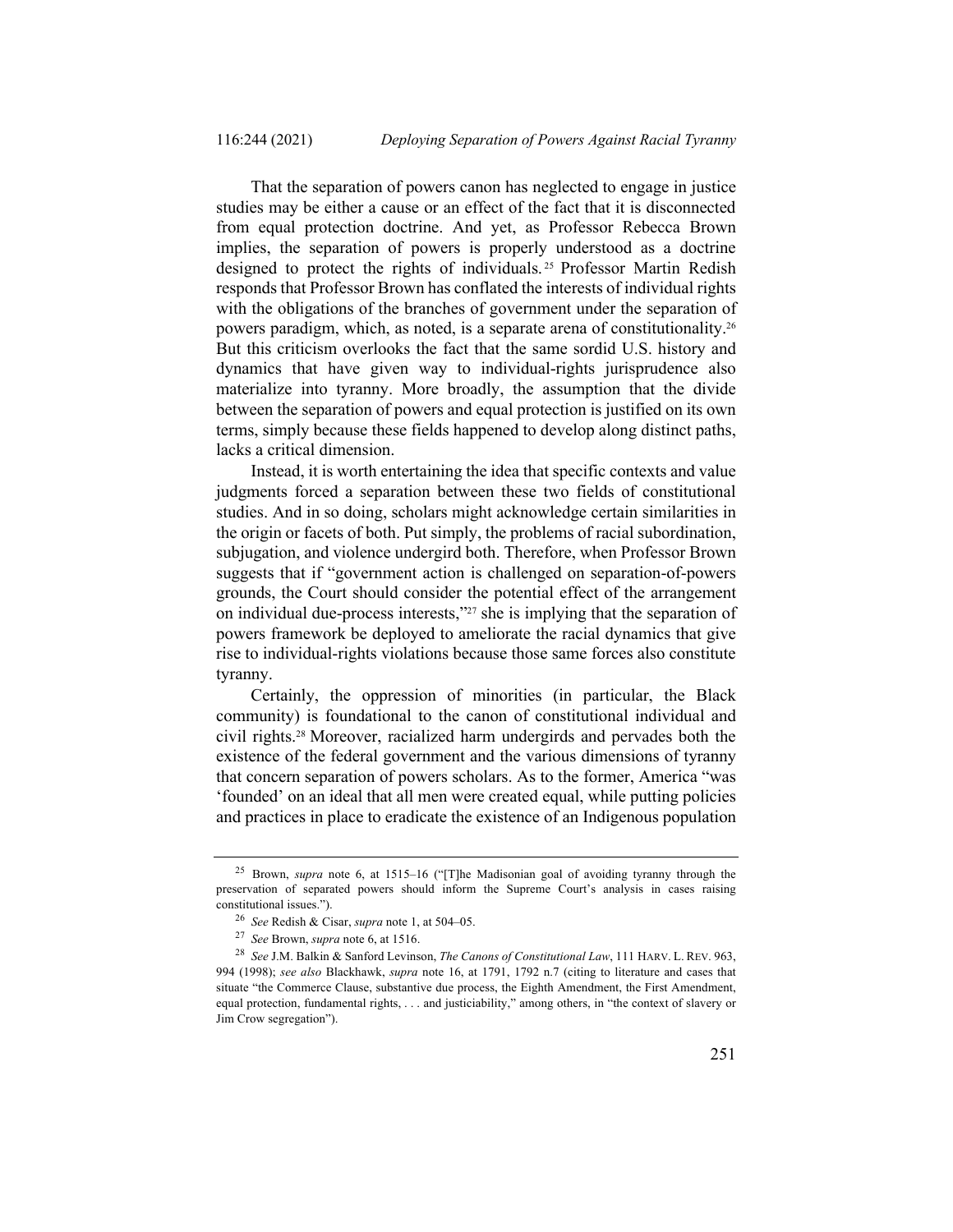That the separation of powers canon has neglected to engage in justice studies may be either a cause or an effect of the fact that it is disconnected from equal protection doctrine. And yet, as Professor Rebecca Brown implies, the separation of powers is properly understood as a doctrine designed to protect the rights of individuals. <sup>25</sup> Professor Martin Redish responds that Professor Brown has conflated the interests of individual rights with the obligations of the branches of government under the separation of powers paradigm, which, as noted, is a separate arena of constitutionality.26 But this criticism overlooks the fact that the same sordid U.S. history and dynamics that have given way to individual-rights jurisprudence also materialize into tyranny. More broadly, the assumption that the divide between the separation of powers and equal protection is justified on its own terms, simply because these fields happened to develop along distinct paths, lacks a critical dimension.

Instead, it is worth entertaining the idea that specific contexts and value judgments forced a separation between these two fields of constitutional studies. And in so doing, scholars might acknowledge certain similarities in the origin or facets of both. Put simply, the problems of racial subordination, subjugation, and violence undergird both. Therefore, when Professor Brown suggests that if "government action is challenged on separation-of-powers grounds, the Court should consider the potential effect of the arrangement on individual due-process interests,"27 she is implying that the separation of powers framework be deployed to ameliorate the racial dynamics that give rise to individual-rights violations because those same forces also constitute tyranny.

Certainly, the oppression of minorities (in particular, the Black community) is foundational to the canon of constitutional individual and civil rights.28 Moreover, racialized harm undergirds and pervades both the existence of the federal government and the various dimensions of tyranny that concern separation of powers scholars. As to the former, America "was 'founded' on an ideal that all men were created equal, while putting policies and practices in place to eradicate the existence of an Indigenous population

<sup>25</sup> Brown, *supra* note 6, at 1515–16 ("[T]he Madisonian goal of avoiding tyranny through the preservation of separated powers should inform the Supreme Court's analysis in cases raising constitutional issues.").

<sup>26</sup> *See* Redish & Cisar, *supra* note 1, at 504–05.

<sup>27</sup> *See* Brown, *supra* note 6, at 1516.

<sup>28</sup> *See* J.M. Balkin & Sanford Levinson, *The Canons of Constitutional Law*, 111 HARV. L. REV. 963, 994 (1998); *see also* Blackhawk, *supra* note 16, at 1791, 1792 n.7 (citing to literature and cases that situate "the Commerce Clause, substantive due process, the Eighth Amendment, the First Amendment, equal protection, fundamental rights, . . . and justiciability," among others, in "the context of slavery or Jim Crow segregation").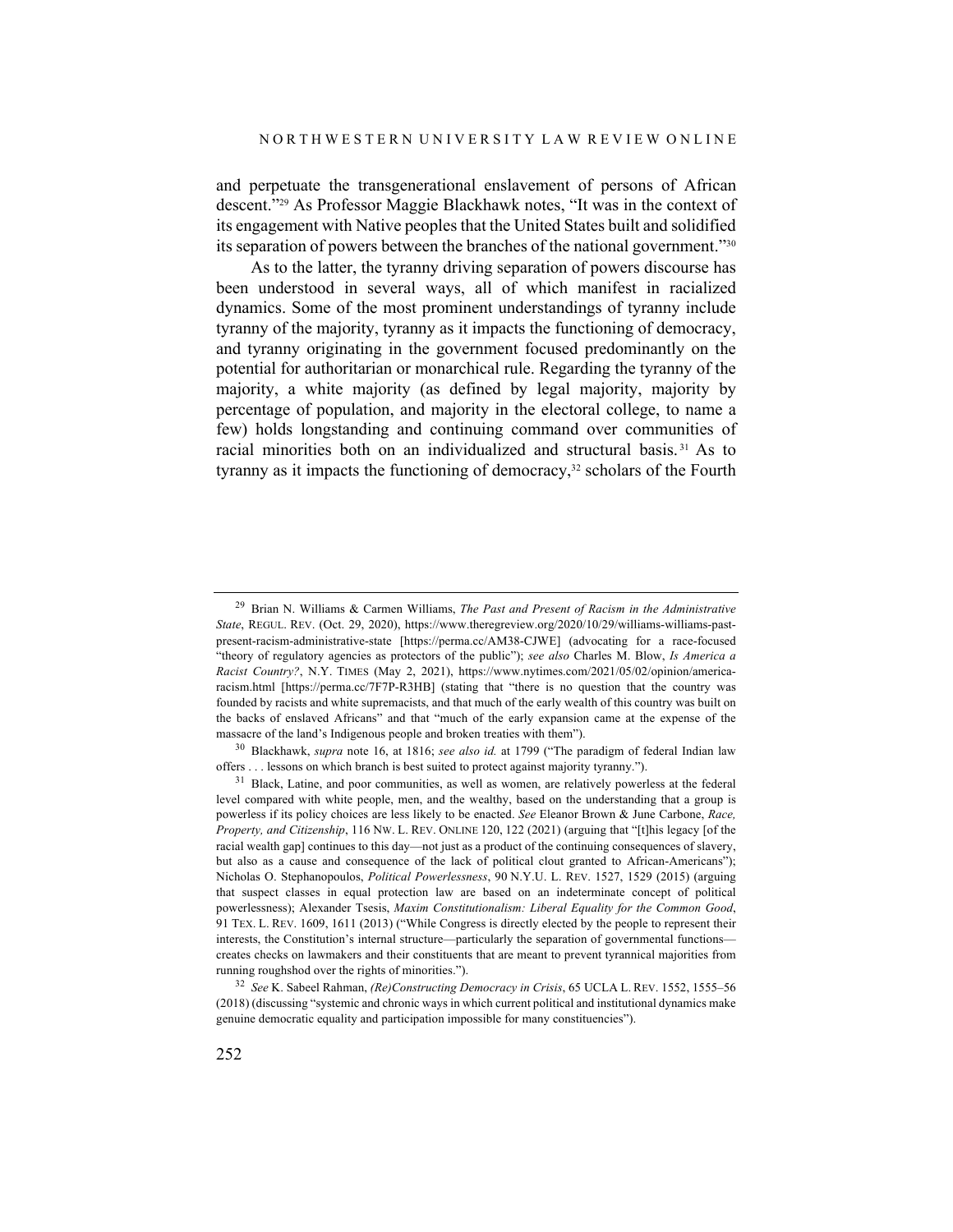and perpetuate the transgenerational enslavement of persons of African descent."29 As Professor Maggie Blackhawk notes, "It was in the context of its engagement with Native peoples that the United States built and solidified its separation of powers between the branches of the national government."30

As to the latter, the tyranny driving separation of powers discourse has been understood in several ways, all of which manifest in racialized dynamics. Some of the most prominent understandings of tyranny include tyranny of the majority, tyranny as it impacts the functioning of democracy, and tyranny originating in the government focused predominantly on the potential for authoritarian or monarchical rule. Regarding the tyranny of the majority, a white majority (as defined by legal majority, majority by percentage of population, and majority in the electoral college, to name a few) holds longstanding and continuing command over communities of racial minorities both on an individualized and structural basis. <sup>31</sup> As to tyranny as it impacts the functioning of democracy,<sup>32</sup> scholars of the Fourth

<sup>29</sup> Brian N. Williams & Carmen Williams, *The Past and Present of Racism in the Administrative State*, REGUL. REV. (Oct. 29, 2020), https://www.theregreview.org/2020/10/29/williams-williams-pastpresent-racism-administrative-state [https://perma.cc/AM38-CJWE] (advocating for a race-focused "theory of regulatory agencies as protectors of the public"); *see also* Charles M. Blow, *Is America a Racist Country?*, N.Y. TIMES (May 2, 2021), https://www.nytimes.com/2021/05/02/opinion/americaracism.html [https://perma.cc/7F7P-R3HB] (stating that "there is no question that the country was founded by racists and white supremacists, and that much of the early wealth of this country was built on the backs of enslaved Africans" and that "much of the early expansion came at the expense of the massacre of the land's Indigenous people and broken treaties with them").

<sup>30</sup> Blackhawk, *supra* note 16, at 1816; *see also id.* at 1799 ("The paradigm of federal Indian law offers . . . lessons on which branch is best suited to protect against majority tyranny.").

<sup>&</sup>lt;sup>31</sup> Black, Latine, and poor communities, as well as women, are relatively powerless at the federal level compared with white people, men, and the wealthy, based on the understanding that a group is powerless if its policy choices are less likely to be enacted. *See* Eleanor Brown & June Carbone, *Race, Property, and Citizenship*, 116 NW. L. REV. ONLINE 120, 122 (2021) (arguing that "[t]his legacy [of the racial wealth gap] continues to this day—not just as a product of the continuing consequences of slavery, but also as a cause and consequence of the lack of political clout granted to African-Americans"); Nicholas O. Stephanopoulos, *Political Powerlessness*, 90 N.Y.U. L. REV. 1527, 1529 (2015) (arguing that suspect classes in equal protection law are based on an indeterminate concept of political powerlessness); Alexander Tsesis, *Maxim Constitutionalism: Liberal Equality for the Common Good*, 91 TEX. L. REV. 1609, 1611 (2013) ("While Congress is directly elected by the people to represent their interests, the Constitution's internal structure—particularly the separation of governmental functions creates checks on lawmakers and their constituents that are meant to prevent tyrannical majorities from running roughshod over the rights of minorities.").

<sup>32</sup> *See* K. Sabeel Rahman, *(Re)Constructing Democracy in Crisis*, 65 UCLA L. REV. 1552, 1555–56 (2018) (discussing "systemic and chronic ways in which current political and institutional dynamics make genuine democratic equality and participation impossible for many constituencies").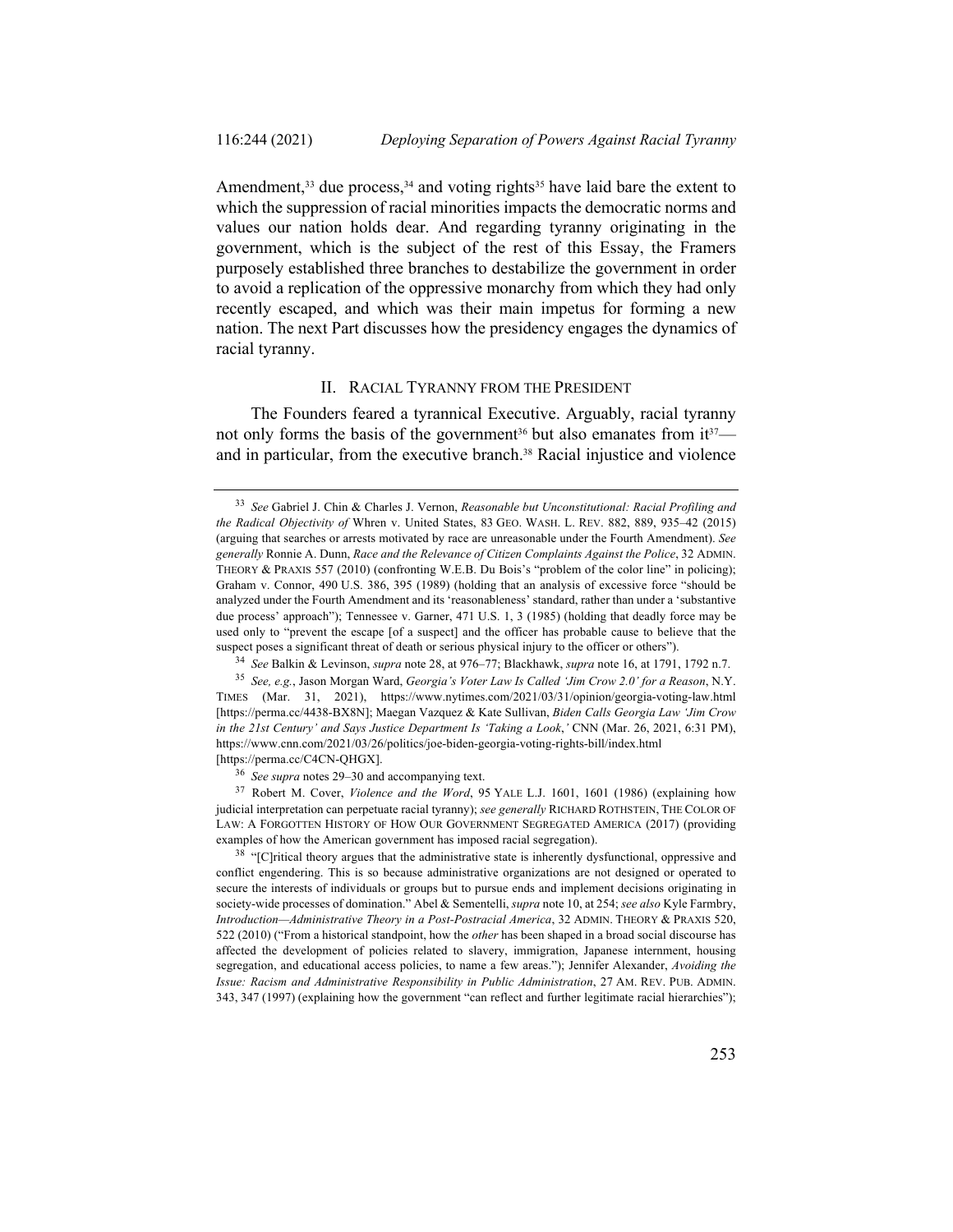Amendment,  $33$  due process,  $34$  and voting rights  $35$  have laid bare the extent to which the suppression of racial minorities impacts the democratic norms and values our nation holds dear. And regarding tyranny originating in the government, which is the subject of the rest of this Essay, the Framers purposely established three branches to destabilize the government in order to avoid a replication of the oppressive monarchy from which they had only recently escaped, and which was their main impetus for forming a new nation. The next Part discusses how the presidency engages the dynamics of racial tyranny.

#### II. RACIAL TYRANNY FROM THE PRESIDENT

The Founders feared a tyrannical Executive. Arguably, racial tyranny not only forms the basis of the government<sup>36</sup> but also emanates from it $37$  and in particular, from the executive branch.38 Racial injustice and violence

<sup>33</sup> *See* Gabriel J. Chin & Charles J. Vernon, *Reasonable but Unconstitutional: Racial Profiling and the Radical Objectivity of* Whren v. United States, 83 GEO. WASH. L. REV. 882, 889, 935–42 (2015) (arguing that searches or arrests motivated by race are unreasonable under the Fourth Amendment). *See generally* Ronnie A. Dunn, *Race and the Relevance of Citizen Complaints Against the Police*, 32 ADMIN. THEORY & PRAXIS 557 (2010) (confronting W.E.B. Du Bois's "problem of the color line" in policing); Graham v. Connor, 490 U.S. 386, 395 (1989) (holding that an analysis of excessive force "should be analyzed under the Fourth Amendment and its 'reasonableness' standard, rather than under a 'substantive due process' approach"); Tennessee v. Garner, 471 U.S. 1, 3 (1985) (holding that deadly force may be used only to "prevent the escape [of a suspect] and the officer has probable cause to believe that the suspect poses a significant threat of death or serious physical injury to the officer or others").

<sup>34</sup> *See* Balkin & Levinson, *supra* note 28, at 976–77; Blackhawk, *supra* note 16, at 1791, 1792 n.7.

<sup>35</sup> *See, e.g.*, Jason Morgan Ward, *Georgia's Voter Law Is Called 'Jim Crow 2.0' for a Reason*, N.Y. TIMES (Mar. 31, 2021), https://www.nytimes.com/2021/03/31/opinion/georgia-voting-law.html [https://perma.cc/4438-BX8N]; Maegan Vazquez & Kate Sullivan, *Biden Calls Georgia Law 'Jim Crow in the 21st Century' and Says Justice Department Is 'Taking a Look*,*'* CNN (Mar. 26, 2021, 6:31 PM), https://www.cnn.com/2021/03/26/politics/joe-biden-georgia-voting-rights-bill/index.html [https://perma.cc/C4CN-QHGX].

<sup>36</sup> *See supra* notes 29–30 and accompanying text.

<sup>&</sup>lt;sup>37</sup> Robert M. Cover, *Violence and the Word*, 95 YALE L.J. 1601, 1601 (1986) (explaining how judicial interpretation can perpetuate racial tyranny); *see generally* RICHARD ROTHSTEIN, THE COLOR OF LAW: A FORGOTTEN HISTORY OF HOW OUR GOVERNMENT SEGREGATED AMERICA (2017) (providing examples of how the American government has imposed racial segregation).

<sup>&</sup>lt;sup>38</sup> "[C]ritical theory argues that the administrative state is inherently dysfunctional, oppressive and conflict engendering. This is so because administrative organizations are not designed or operated to secure the interests of individuals or groups but to pursue ends and implement decisions originating in society-wide processes of domination." Abel & Sementelli, *supra* note 10, at 254; *see also* Kyle Farmbry, *Introduction—Administrative Theory in a Post-Postracial America*, 32 ADMIN. THEORY & PRAXIS 520, 522 (2010) ("From a historical standpoint, how the *other* has been shaped in a broad social discourse has affected the development of policies related to slavery, immigration, Japanese internment, housing segregation, and educational access policies, to name a few areas."); Jennifer Alexander, *Avoiding the Issue: Racism and Administrative Responsibility in Public Administration*, 27 AM. REV. PUB. ADMIN. 343, 347 (1997) (explaining how the government "can reflect and further legitimate racial hierarchies");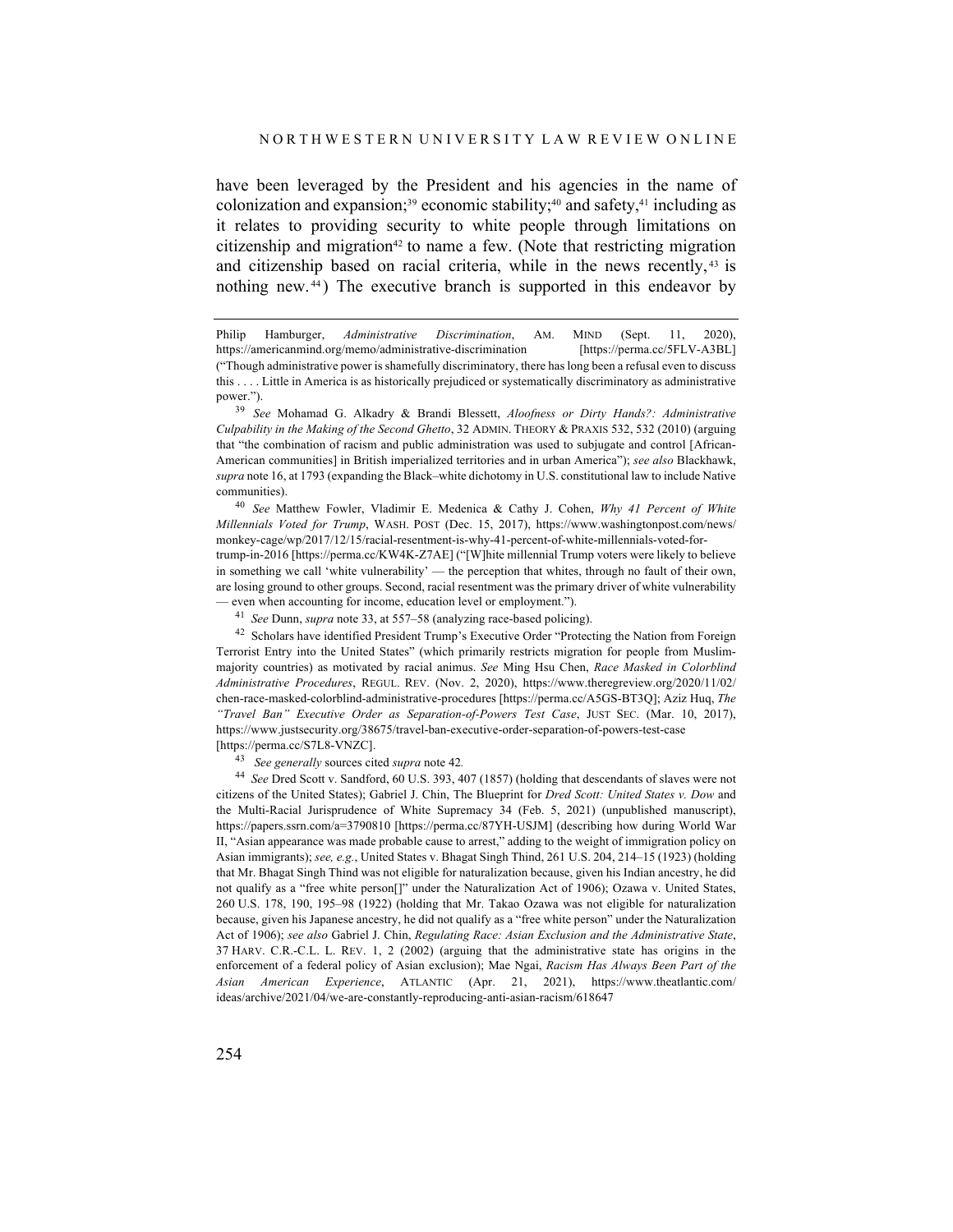have been leveraged by the President and his agencies in the name of colonization and expansion;<sup>39</sup> economic stability;<sup>40</sup> and safety,<sup>41</sup> including as it relates to providing security to white people through limitations on citizenship and migration<sup>42</sup> to name a few. (Note that restricting migration and citizenship based on racial criteria, while in the news recently, <sup>43</sup> is nothing new. <sup>44</sup> ) The executive branch is supported in this endeavor by

<sup>40</sup> *See* Matthew Fowler, Vladimir E. Medenica & Cathy J. Cohen, *Why 41 Percent of White Millennials Voted for Trump*, WASH. POST (Dec. 15, 2017), https://www.washingtonpost.com/news/ monkey-cage/wp/2017/12/15/racial-resentment-is-why-41-percent-of-white-millennials-voted-fortrump-in-2016 [https://perma.cc/KW4K-Z7AE] ("[W]hite millennial Trump voters were likely to believe in something we call 'white vulnerability' — the perception that whites, through no fault of their own, are losing ground to other groups. Second, racial resentment was the primary driver of white vulnerability — even when accounting for income, education level or employment.").

<sup>41</sup> *See* Dunn, *supra* note 33, at 557–58 (analyzing race-based policing).

<sup>42</sup> Scholars have identified President Trump's Executive Order "Protecting the Nation from Foreign Terrorist Entry into the United States" (which primarily restricts migration for people from Muslimmajority countries) as motivated by racial animus. *See* Ming Hsu Chen, *Race Masked in Colorblind Administrative Procedures*, REGUL. REV. (Nov. 2, 2020), https://www.theregreview.org/2020/11/02/ chen-race-masked-colorblind-administrative-procedures [https://perma.cc/A5GS-BT3Q]; Aziz Huq, *The "Travel Ban" Executive Order as Separation-of-Powers Test Case*, JUST SEC. (Mar. 10, 2017), https://www.justsecurity.org/38675/travel-ban-executive-order-separation-of-powers-test-case [https://perma.cc/S7L8-VNZC].

<sup>43</sup> *See generally* sources cited *supra* note 42*.*

<sup>44</sup> *See* Dred Scott v. Sandford, 60 U.S. 393, 407 (1857) (holding that descendants of slaves were not citizens of the United States); Gabriel J. Chin, The Blueprint for *Dred Scott: United States v. Dow* and the Multi-Racial Jurisprudence of White Supremacy 34 (Feb. 5, 2021) (unpublished manuscript), https://papers.ssrn.com/a=3790810 [https://perma.cc/87YH-USJM] (describing how during World War II, "Asian appearance was made probable cause to arrest," adding to the weight of immigration policy on Asian immigrants); *see, e.g.*, United States v. Bhagat Singh Thind, 261 U.S. 204, 214–15 (1923) (holding that Mr. Bhagat Singh Thind was not eligible for naturalization because, given his Indian ancestry, he did not qualify as a "free white person[]" under the Naturalization Act of 1906); Ozawa v. United States, 260 U.S. 178, 190, 195–98 (1922) (holding that Mr. Takao Ozawa was not eligible for naturalization because, given his Japanese ancestry, he did not qualify as a "free white person" under the Naturalization Act of 1906); *see also* Gabriel J. Chin, *Regulating Race: Asian Exclusion and the Administrative State*, 37 HARV. C.R.-C.L. L. REV. 1, 2 (2002) (arguing that the administrative state has origins in the enforcement of a federal policy of Asian exclusion); Mae Ngai, *Racism Has Always Been Part of the Asian American Experience*, ATLANTIC (Apr. 21, 2021), https://www.theatlantic.com/ ideas/archive/2021/04/we-are-constantly-reproducing-anti-asian-racism/618647

Philip Hamburger, *Administrative Discrimination*, AM. MIND (Sept. 11, 2020), https://americanmind.org/memo/administrative-discrimination [https://perma.cc/5FLV-A3BL] ("Though administrative power is shamefully discriminatory, there has long been a refusal even to discuss this . . . . Little in America is as historically prejudiced or systematically discriminatory as administrative power.").

<sup>39</sup> *See* Mohamad G. Alkadry & Brandi Blessett, *Aloofness or Dirty Hands?: Administrative Culpability in the Making of the Second Ghetto*, 32 ADMIN. THEORY & PRAXIS 532, 532 (2010) (arguing that "the combination of racism and public administration was used to subjugate and control [African-American communities] in British imperialized territories and in urban America"); *see also* Blackhawk, *supra* note 16, at 1793 (expanding the Black–white dichotomy in U.S. constitutional law to include Native communities).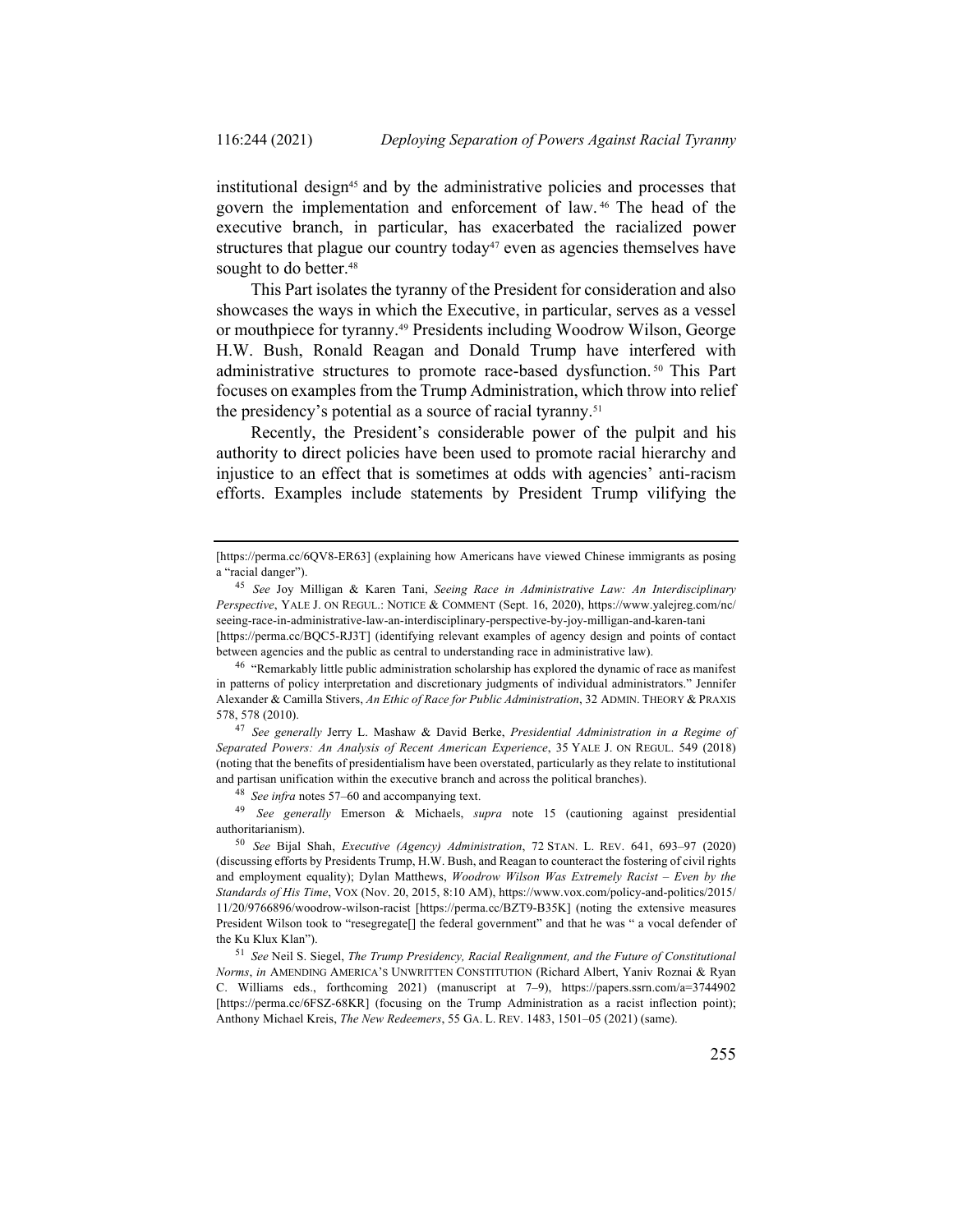institutional design45 and by the administrative policies and processes that govern the implementation and enforcement of law. <sup>46</sup> The head of the executive branch, in particular, has exacerbated the racialized power structures that plague our country today<sup>47</sup> even as agencies themselves have sought to do better.<sup>48</sup>

This Part isolates the tyranny of the President for consideration and also showcases the ways in which the Executive, in particular, serves as a vessel or mouthpiece for tyranny.49 Presidents including Woodrow Wilson, George H.W. Bush, Ronald Reagan and Donald Trump have interfered with administrative structures to promote race-based dysfunction. <sup>50</sup> This Part focuses on examples from the Trump Administration, which throw into relief the presidency's potential as a source of racial tyranny.51

Recently, the President's considerable power of the pulpit and his authority to direct policies have been used to promote racial hierarchy and injustice to an effect that is sometimes at odds with agencies' anti-racism efforts. Examples include statements by President Trump vilifying the

between agencies and the public as central to understanding race in administrative law).

<sup>48</sup> *See infra* notes 57–60 and accompanying text.

<sup>49</sup> *See generally* Emerson & Michaels, *supra* note 15 (cautioning against presidential authoritarianism).

<sup>[</sup>https://perma.cc/6QV8-ER63] (explaining how Americans have viewed Chinese immigrants as posing a "racial danger").

<sup>45</sup> *See* Joy Milligan & Karen Tani, *Seeing Race in Administrative Law: An Interdisciplinary Perspective*, YALE J. ON REGUL.: NOTICE & COMMENT (Sept. 16, 2020), https://www.yalejreg.com/nc/ seeing-race-in-administrative-law-an-interdisciplinary-perspective-by-joy-milligan-and-karen-tani [https://perma.cc/BQC5-RJ3T] (identifying relevant examples of agency design and points of contact

<sup>46</sup> "Remarkably little public administration scholarship has explored the dynamic of race as manifest in patterns of policy interpretation and discretionary judgments of individual administrators." Jennifer Alexander & Camilla Stivers, *An Ethic of Race for Public Administration*, 32 ADMIN. THEORY & PRAXIS 578, 578 (2010).

<sup>47</sup> *See generally* Jerry L. Mashaw & David Berke, *Presidential Administration in a Regime of Separated Powers: An Analysis of Recent American Experience*, 35 YALE J. ON REGUL. 549 (2018) (noting that the benefits of presidentialism have been overstated, particularly as they relate to institutional and partisan unification within the executive branch and across the political branches).

<sup>50</sup> *See* Bijal Shah, *Executive (Agency) Administration*, 72 STAN. L. REV. 641, 693–97 (2020) (discussing efforts by Presidents Trump, H.W. Bush, and Reagan to counteract the fostering of civil rights and employment equality); Dylan Matthews, *Woodrow Wilson Was Extremely Racist – Even by the Standards of His Time*, VOX (Nov. 20, 2015, 8:10 AM), https://www.vox.com/policy-and-politics/2015/ 11/20/9766896/woodrow-wilson-racist [https://perma.cc/BZT9-B35K] (noting the extensive measures President Wilson took to "resegregate[] the federal government" and that he was " a vocal defender of the Ku Klux Klan").

<sup>51</sup> *See* Neil S. Siegel, *The Trump Presidency, Racial Realignment, and the Future of Constitutional Norms*, *in* AMENDING AMERICA'S UNWRITTEN CONSTITUTION (Richard Albert, Yaniv Roznai & Ryan C. Williams eds., forthcoming 2021) (manuscript at 7–9), https://papers.ssrn.com/a=3744902 [https://perma.cc/6FSZ-68KR] (focusing on the Trump Administration as a racist inflection point); Anthony Michael Kreis, *The New Redeemers*, 55 GA. L. REV. 1483, 1501–05 (2021) (same).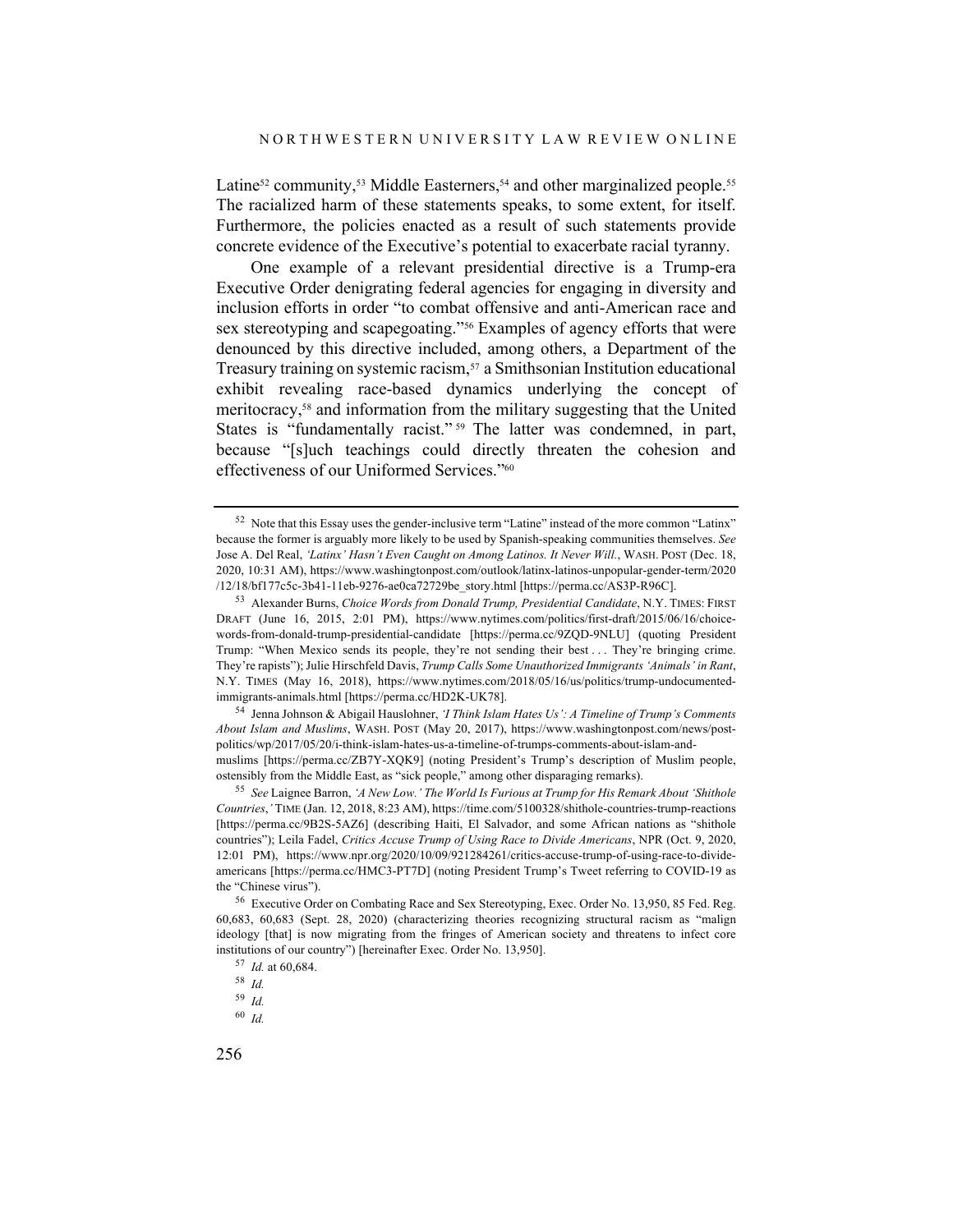Latine<sup>52</sup> community,<sup>53</sup> Middle Easterners,<sup>54</sup> and other marginalized people.<sup>55</sup> The racialized harm of these statements speaks, to some extent, for itself. Furthermore, the policies enacted as a result of such statements provide concrete evidence of the Executive's potential to exacerbate racial tyranny.

One example of a relevant presidential directive is a Trump-era Executive Order denigrating federal agencies for engaging in diversity and inclusion efforts in order "to combat offensive and anti-American race and sex stereotyping and scapegoating."56 Examples of agency efforts that were denounced by this directive included, among others, a Department of the Treasury training on systemic racism,57 a Smithsonian Institution educational exhibit revealing race-based dynamics underlying the concept of meritocracy,58 and information from the military suggesting that the United States is "fundamentally racist." <sup>59</sup> The latter was condemned, in part, because "[s]uch teachings could directly threaten the cohesion and effectiveness of our Uniformed Services."60

<sup>54</sup> Jenna Johnson & Abigail Hauslohner, *'I Think Islam Hates Us': A Timeline of Trump's Comments About Islam and Muslims*, WASH. POST (May 20, 2017), https://www.washingtonpost.com/news/postpolitics/wp/2017/05/20/i-think-islam-hates-us-a-timeline-of-trumps-comments-about-islam-andmuslims [https://perma.cc/ZB7Y-XQK9] (noting President's Trump's description of Muslim people, ostensibly from the Middle East, as "sick people," among other disparaging remarks).

<sup>55</sup> *See* Laignee Barron, *'A New Low.' The World Is Furious at Trump for His Remark About 'Shithole Countries*,*'* TIME (Jan. 12, 2018, 8:23 AM), https://time.com/5100328/shithole-countries-trump-reactions [https://perma.cc/9B2S-5AZ6] (describing Haiti, El Salvador, and some African nations as "shithole countries"); Leila Fadel, *Critics Accuse Trump of Using Race to Divide Americans*, NPR (Oct. 9, 2020, 12:01 PM), https://www.npr.org/2020/10/09/921284261/critics-accuse-trump-of-using-race-to-divideamericans [https://perma.cc/HMC3-PT7D] (noting President Trump's Tweet referring to COVID-19 as the "Chinese virus").

<sup>52</sup> Note that this Essay uses the gender-inclusive term "Latine" instead of the more common "Latinx" because the former is arguably more likely to be used by Spanish-speaking communities themselves. *See* Jose A. Del Real, *'Latinx' Hasn't Even Caught on Among Latinos. It Never Will.*, WASH. POST (Dec. 18, 2020, 10:31 AM), https://www.washingtonpost.com/outlook/latinx-latinos-unpopular-gender-term/2020 /12/18/bf177c5c-3b41-11eb-9276-ae0ca72729be\_story.html [https://perma.cc/AS3P-R96C].

<sup>53</sup> Alexander Burns, *Choice Words from Donald Trump, Presidential Candidate*, N.Y. TIMES: FIRST DRAFT (June 16, 2015, 2:01 PM), https://www.nytimes.com/politics/first-draft/2015/06/16/choicewords-from-donald-trump-presidential-candidate [https://perma.cc/9ZQD-9NLU] (quoting President Trump: "When Mexico sends its people, they're not sending their best . . . They're bringing crime. They're rapists"); Julie Hirschfeld Davis, *Trump Calls Some Unauthorized Immigrants 'Animals' in Rant*, N.Y. TIMES (May 16, 2018), https://www.nytimes.com/2018/05/16/us/politics/trump-undocumentedimmigrants-animals.html [https://perma.cc/HD2K-UK78].

<sup>56</sup> Executive Order on Combating Race and Sex Stereotyping, Exec. Order No. 13,950, 85 Fed. Reg. 60,683, 60,683 (Sept. 28, 2020) (characterizing theories recognizing structural racism as "malign ideology [that] is now migrating from the fringes of American society and threatens to infect core institutions of our country") [hereinafter Exec. Order No. 13,950].

<sup>57</sup> *Id.* at 60,684.

<sup>58</sup> *Id.*

<sup>59</sup> *Id.*

<sup>60</sup> *Id.*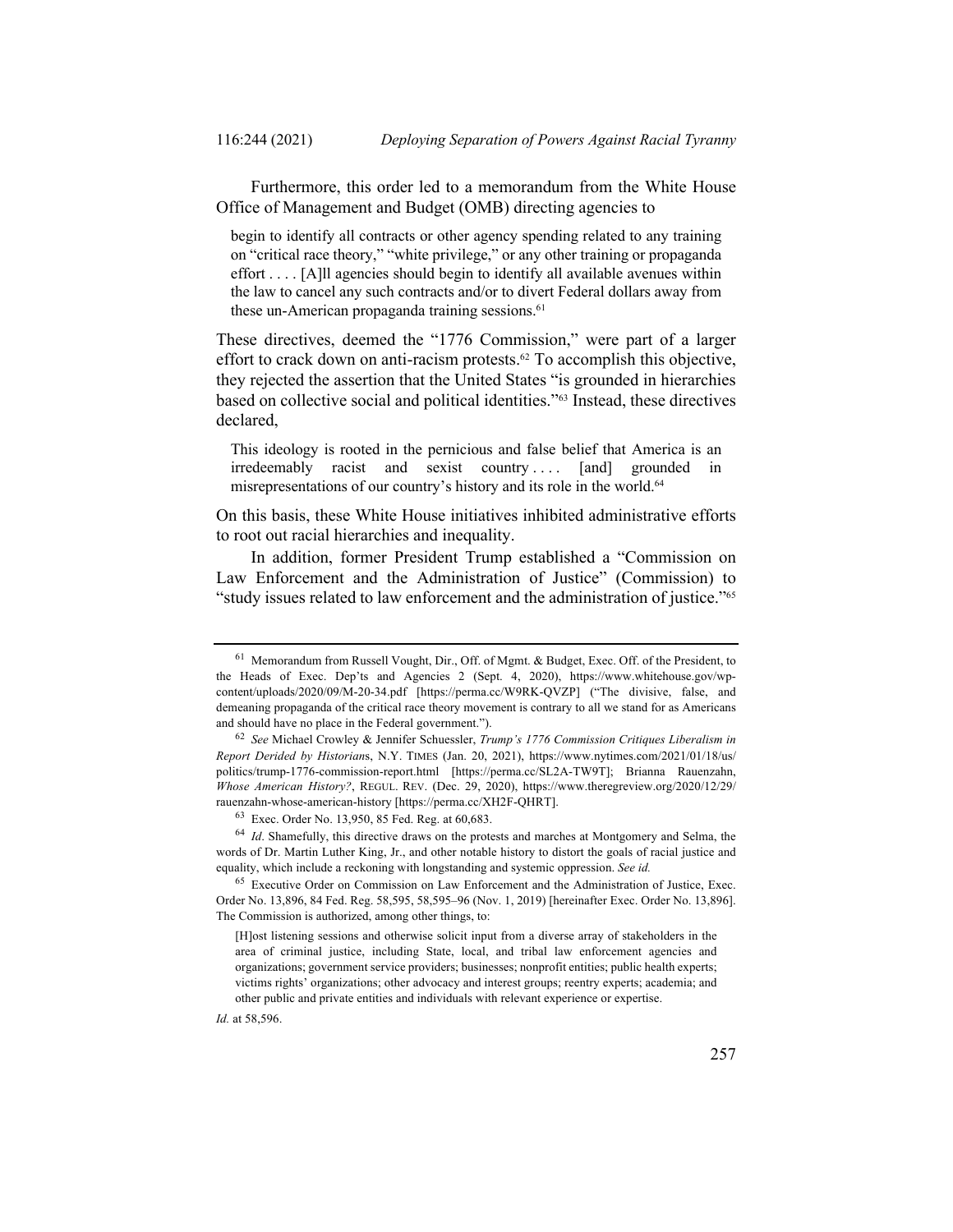Furthermore, this order led to a memorandum from the White House Office of Management and Budget (OMB) directing agencies to

begin to identify all contracts or other agency spending related to any training on "critical race theory," "white privilege," or any other training or propaganda effort . . . . [A]ll agencies should begin to identify all available avenues within the law to cancel any such contracts and/or to divert Federal dollars away from these un-American propaganda training sessions.<sup>61</sup>

These directives, deemed the "1776 Commission," were part of a larger effort to crack down on anti-racism protests. <sup>62</sup> To accomplish this objective, they rejected the assertion that the United States "is grounded in hierarchies based on collective social and political identities."63 Instead, these directives declared,

This ideology is rooted in the pernicious and false belief that America is an irredeemably racist and sexist country .... [and] grounded in misrepresentations of our country's history and its role in the world.<sup>64</sup>

On this basis, these White House initiatives inhibited administrative efforts to root out racial hierarchies and inequality.

In addition, former President Trump established a "Commission on Law Enforcement and the Administration of Justice" (Commission) to "study issues related to law enforcement and the administration of justice."65

<sup>61</sup> Memorandum from Russell Vought, Dir., Off. of Mgmt. & Budget, Exec. Off. of the President, to the Heads of Exec. Dep'ts and Agencies 2 (Sept. 4, 2020), https://www.whitehouse.gov/wpcontent/uploads/2020/09/M-20-34.pdf [https://perma.cc/W9RK-QVZP] ("The divisive, false, and demeaning propaganda of the critical race theory movement is contrary to all we stand for as Americans and should have no place in the Federal government.").

<sup>62</sup> *See* Michael Crowley & Jennifer Schuessler, *Trump's 1776 Commission Critiques Liberalism in Report Derided by Historian*s, N.Y. TIMES (Jan. 20, 2021), https://www.nytimes.com/2021/01/18/us/ politics/trump-1776-commission-report.html [https://perma.cc/SL2A-TW9T]; Brianna Rauenzahn, *Whose American History?*, REGUL. REV. (Dec. 29, 2020), https://www.theregreview.org/2020/12/29/ rauenzahn-whose-american-history [https://perma.cc/XH2F-QHRT].

<sup>63</sup> Exec. Order No. 13,950, 85 Fed. Reg. at 60,683.

<sup>&</sup>lt;sup>64</sup> *Id*. Shamefully, this directive draws on the protests and marches at Montgomery and Selma, the words of Dr. Martin Luther King, Jr., and other notable history to distort the goals of racial justice and equality, which include a reckoning with longstanding and systemic oppression. *See id.*

<sup>65</sup> Executive Order on Commission on Law Enforcement and the Administration of Justice, Exec. Order No. 13,896, 84 Fed. Reg. 58,595, 58,595–96 (Nov. 1, 2019) [hereinafter Exec. Order No. 13,896]. The Commission is authorized, among other things, to:

<sup>[</sup>H]ost listening sessions and otherwise solicit input from a diverse array of stakeholders in the area of criminal justice, including State, local, and tribal law enforcement agencies and organizations; government service providers; businesses; nonprofit entities; public health experts; victims rights' organizations; other advocacy and interest groups; reentry experts; academia; and other public and private entities and individuals with relevant experience or expertise.

*Id.* at 58,596.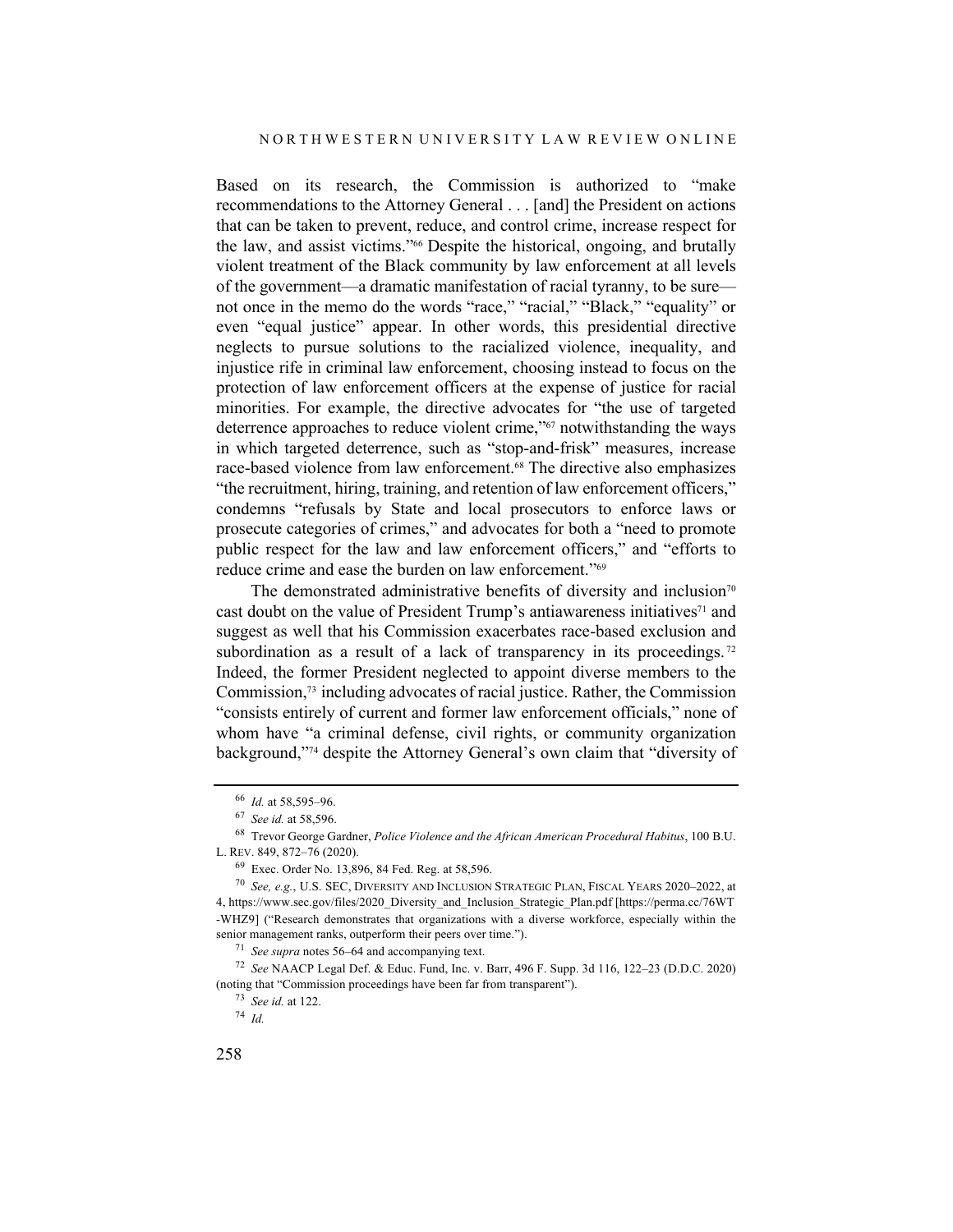Based on its research, the Commission is authorized to "make recommendations to the Attorney General . . . [and] the President on actions that can be taken to prevent, reduce, and control crime, increase respect for the law, and assist victims."66 Despite the historical, ongoing, and brutally violent treatment of the Black community by law enforcement at all levels of the government—a dramatic manifestation of racial tyranny, to be sure not once in the memo do the words "race," "racial," "Black," "equality" or even "equal justice" appear. In other words, this presidential directive neglects to pursue solutions to the racialized violence, inequality, and injustice rife in criminal law enforcement, choosing instead to focus on the protection of law enforcement officers at the expense of justice for racial minorities. For example, the directive advocates for "the use of targeted deterrence approaches to reduce violent crime,"<sup>67</sup> notwithstanding the ways in which targeted deterrence, such as "stop-and-frisk" measures, increase race-based violence from law enforcement.68 The directive also emphasizes "the recruitment, hiring, training, and retention of law enforcement officers," condemns "refusals by State and local prosecutors to enforce laws or prosecute categories of crimes," and advocates for both a "need to promote public respect for the law and law enforcement officers," and "efforts to reduce crime and ease the burden on law enforcement."69

The demonstrated administrative benefits of diversity and inclusion<sup>70</sup> cast doubt on the value of President Trump's antiawareness initiatives<sup>71</sup> and suggest as well that his Commission exacerbates race-based exclusion and subordination as a result of a lack of transparency in its proceedings.<sup>72</sup> Indeed, the former President neglected to appoint diverse members to the Commission, <sup>73</sup> including advocates of racial justice. Rather, the Commission "consists entirely of current and former law enforcement officials," none of whom have "a criminal defense, civil rights, or community organization background,"74 despite the Attorney General's own claim that "diversity of

<sup>71</sup> *See supra* notes 56–64 and accompanying text.

<sup>66</sup> *Id.* at 58,595–96.

<sup>67</sup> *See id.* at 58,596.

<sup>68</sup> Trevor George Gardner, *Police Violence and the African American Procedural Habitus*, 100 B.U. L. REV. 849, 872–76 (2020).

<sup>69</sup> Exec. Order No. 13,896, 84 Fed. Reg. at 58,596.

<sup>70</sup> *See, e.g.*, U.S. SEC, DIVERSITY AND INCLUSION STRATEGIC PLAN, FISCAL YEARS 2020–2022, at 4, https://www.sec.gov/files/2020\_Diversity\_and\_Inclusion\_Strategic\_Plan.pdf [https://perma.cc/76WT -WHZ9] ("Research demonstrates that organizations with a diverse workforce, especially within the senior management ranks, outperform their peers over time.").

<sup>72</sup> *See* NAACP Legal Def. & Educ. Fund, Inc. v. Barr, 496 F. Supp. 3d 116, 122–23 (D.D.C. 2020) (noting that "Commission proceedings have been far from transparent").

<sup>73</sup> *See id.* at 122.

<sup>74</sup> *Id.*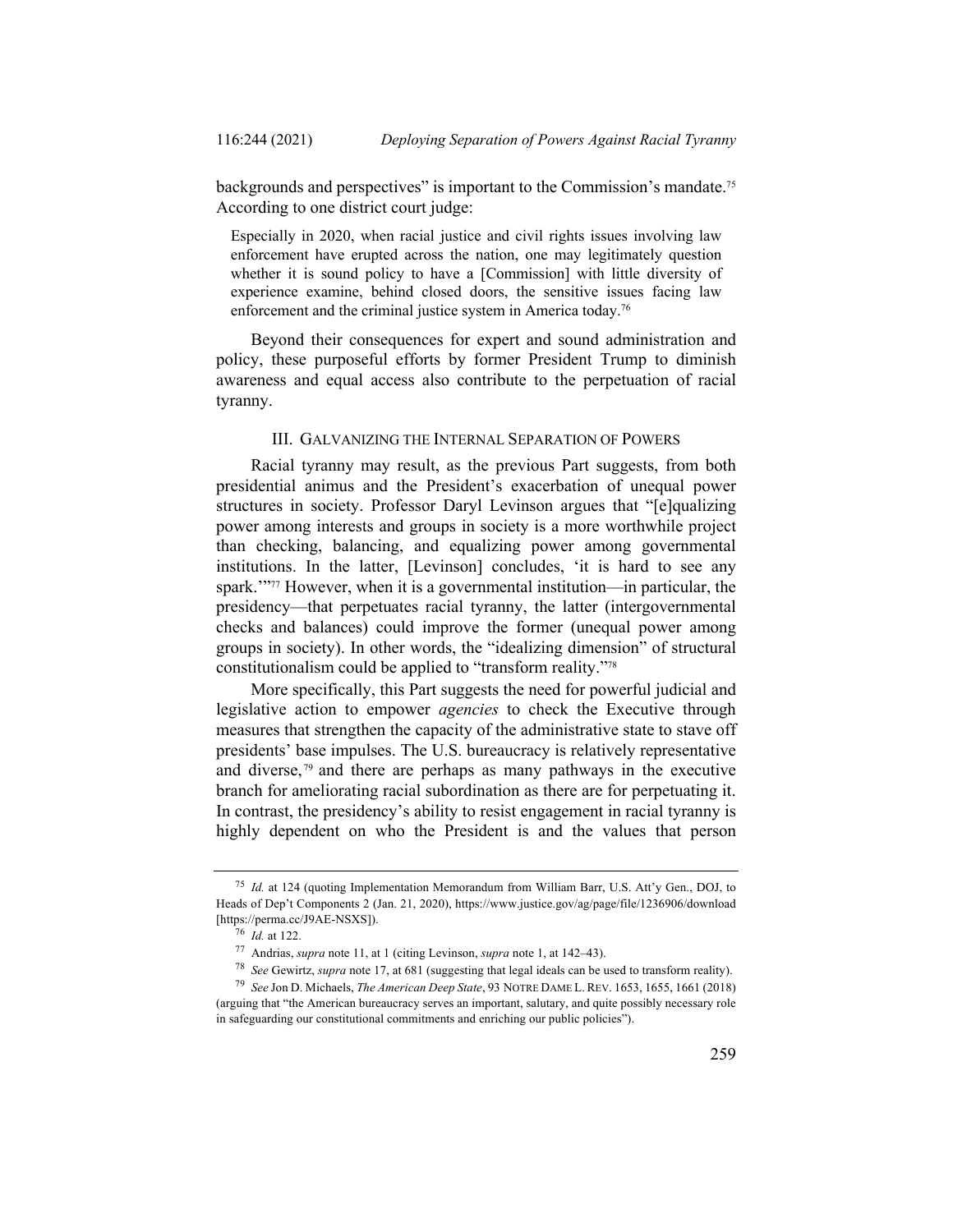backgrounds and perspectives" is important to the Commission's mandate.75 According to one district court judge:

Especially in 2020, when racial justice and civil rights issues involving law enforcement have erupted across the nation, one may legitimately question whether it is sound policy to have a [Commission] with little diversity of experience examine, behind closed doors, the sensitive issues facing law enforcement and the criminal justice system in America today.<sup>76</sup>

Beyond their consequences for expert and sound administration and policy, these purposeful efforts by former President Trump to diminish awareness and equal access also contribute to the perpetuation of racial tyranny.

### III. GALVANIZING THE INTERNAL SEPARATION OF POWERS

Racial tyranny may result, as the previous Part suggests, from both presidential animus and the President's exacerbation of unequal power structures in society. Professor Daryl Levinson argues that "[e]qualizing power among interests and groups in society is a more worthwhile project than checking, balancing, and equalizing power among governmental institutions. In the latter, [Levinson] concludes, 'it is hard to see any spark.'"77 However, when it is a governmental institution—in particular, the presidency—that perpetuates racial tyranny, the latter (intergovernmental checks and balances) could improve the former (unequal power among groups in society). In other words, the "idealizing dimension" of structural constitutionalism could be applied to "transform reality."78

More specifically, this Part suggests the need for powerful judicial and legislative action to empower *agencies* to check the Executive through measures that strengthen the capacity of the administrative state to stave off presidents' base impulses. The U.S. bureaucracy is relatively representative and diverse, <sup>79</sup> and there are perhaps as many pathways in the executive branch for ameliorating racial subordination as there are for perpetuating it. In contrast, the presidency's ability to resist engagement in racial tyranny is highly dependent on who the President is and the values that person

<sup>75</sup> *Id.* at 124 (quoting Implementation Memorandum from William Barr, U.S. Att'y Gen., DOJ, to Heads of Dep't Components 2 (Jan. 21, 2020), https://www.justice.gov/ag/page/file/1236906/download [https://perma.cc/J9AE-NSXS]).

 $\frac{1}{76}$  *Id.* at 122.

<sup>77</sup> Andrias, *supra* note 11, at 1 (citing Levinson, *supra* note 1, at 142–43).

<sup>78</sup> *See* Gewirtz, *supra* note 17, at 681 (suggesting that legal ideals can be used to transform reality).

<sup>79</sup> *See* Jon D. Michaels, *The American Deep State*, 93 NOTRE DAME L. REV. 1653, 1655, 1661 (2018) (arguing that "the American bureaucracy serves an important, salutary, and quite possibly necessary role in safeguarding our constitutional commitments and enriching our public policies").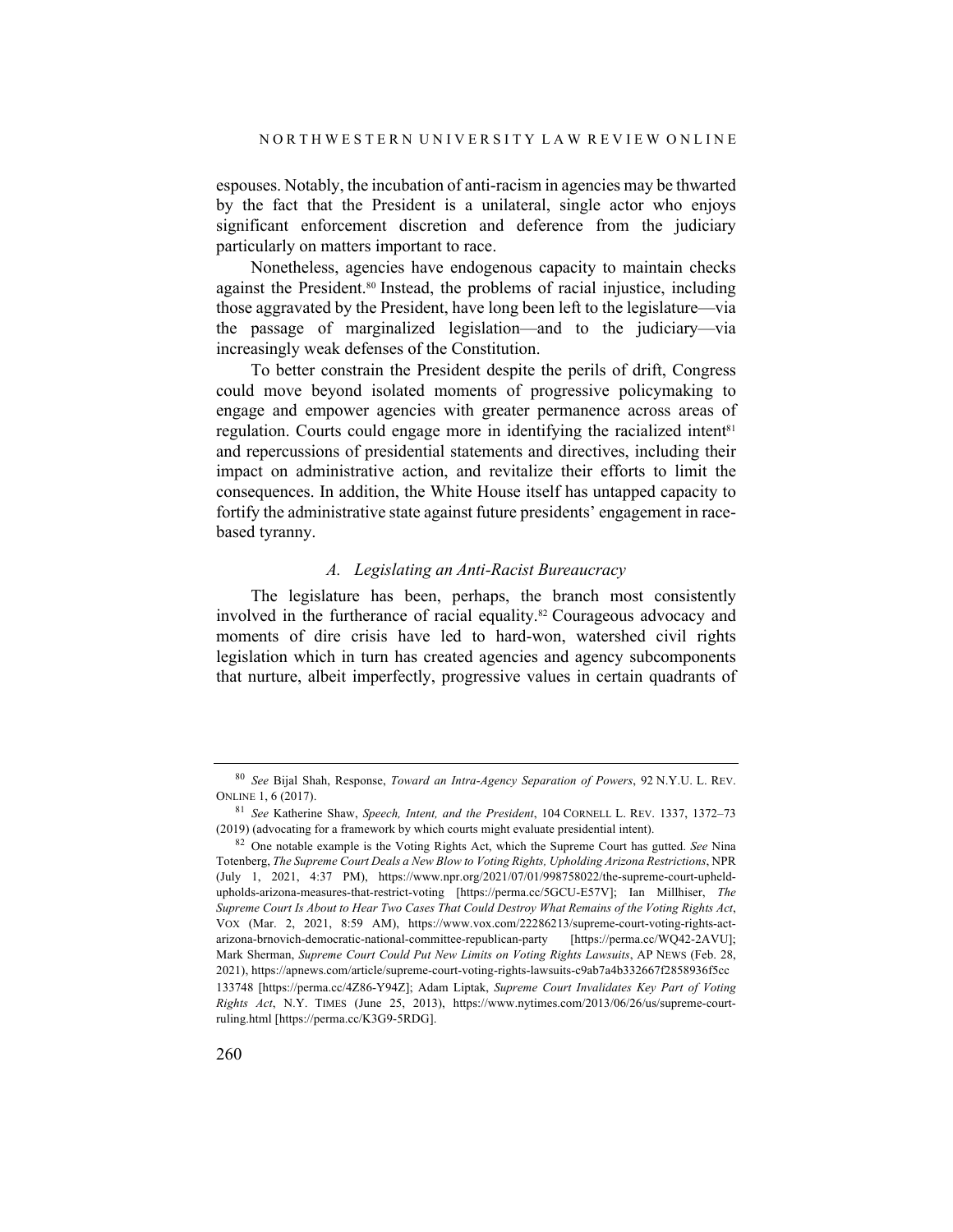espouses. Notably, the incubation of anti-racism in agencies may be thwarted by the fact that the President is a unilateral, single actor who enjoys significant enforcement discretion and deference from the judiciary particularly on matters important to race.

Nonetheless, agencies have endogenous capacity to maintain checks against the President.80 Instead, the problems of racial injustice, including those aggravated by the President, have long been left to the legislature—via the passage of marginalized legislation—and to the judiciary—via increasingly weak defenses of the Constitution.

To better constrain the President despite the perils of drift, Congress could move beyond isolated moments of progressive policymaking to engage and empower agencies with greater permanence across areas of regulation. Courts could engage more in identifying the racialized intent<sup>81</sup> and repercussions of presidential statements and directives, including their impact on administrative action, and revitalize their efforts to limit the consequences. In addition, the White House itself has untapped capacity to fortify the administrative state against future presidents' engagement in racebased tyranny.

### *A. Legislating an Anti-Racist Bureaucracy*

The legislature has been, perhaps, the branch most consistently involved in the furtherance of racial equality.<sup>82</sup> Courageous advocacy and moments of dire crisis have led to hard-won, watershed civil rights legislation which in turn has created agencies and agency subcomponents that nurture, albeit imperfectly, progressive values in certain quadrants of

<sup>80</sup> *See* Bijal Shah, Response, *Toward an Intra-Agency Separation of Powers*, 92 N.Y.U. L. REV. ONLINE 1, 6 (2017).

<sup>81</sup> *See* Katherine Shaw, *Speech, Intent, and the President*, 104 CORNELL L. REV. 1337, 1372–73 (2019) (advocating for a framework by which courts might evaluate presidential intent).

<sup>82</sup> One notable example is the Voting Rights Act, which the Supreme Court has gutted. *See* Nina Totenberg, *The Supreme Court Deals a New Blow to Voting Rights, Upholding Arizona Restrictions*, NPR (July 1, 2021, 4:37 PM), https://www.npr.org/2021/07/01/998758022/the-supreme-court-upheldupholds-arizona-measures-that-restrict-voting [https://perma.cc/5GCU-E57V]; Ian Millhiser, *The Supreme Court Is About to Hear Two Cases That Could Destroy What Remains of the Voting Rights Act*, VOX (Mar. 2, 2021, 8:59 AM), https://www.vox.com/22286213/supreme-court-voting-rights-actarizona-brnovich-democratic-national-committee-republican-party [https://perma.cc/WQ42-2AVU]; Mark Sherman, *Supreme Court Could Put New Limits on Voting Rights Lawsuits*, AP NEWS (Feb. 28, 2021), https://apnews.com/article/supreme-court-voting-rights-lawsuits-c9ab7a4b332667f2858936f5cc 133748 [https://perma.cc/4Z86-Y94Z]; Adam Liptak, *Supreme Court Invalidates Key Part of Voting Rights Act*, N.Y. TIMES (June 25, 2013), https://www.nytimes.com/2013/06/26/us/supreme-courtruling.html [https://perma.cc/K3G9-5RDG].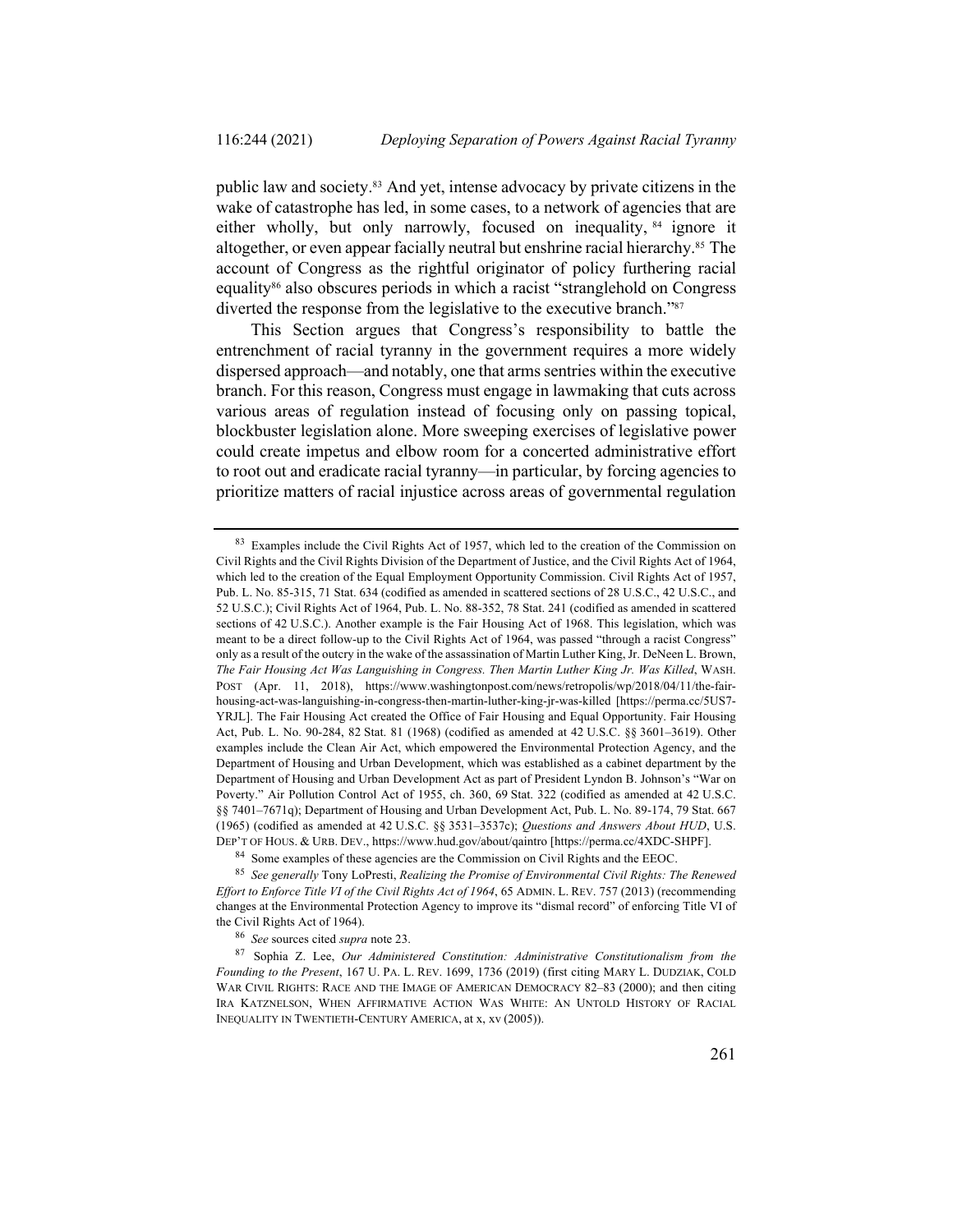public law and society.83 And yet, intense advocacy by private citizens in the wake of catastrophe has led, in some cases, to a network of agencies that are either wholly, but only narrowly, focused on inequality, <sup>84</sup> ignore it altogether, or even appear facially neutral but enshrine racial hierarchy.<sup>85</sup> The account of Congress as the rightful originator of policy furthering racial equality<sup>86</sup> also obscures periods in which a racist "stranglehold on Congress" diverted the response from the legislative to the executive branch."87

This Section argues that Congress's responsibility to battle the entrenchment of racial tyranny in the government requires a more widely dispersed approach—and notably, one that arms sentries within the executive branch. For this reason, Congress must engage in lawmaking that cuts across various areas of regulation instead of focusing only on passing topical, blockbuster legislation alone. More sweeping exercises of legislative power could create impetus and elbow room for a concerted administrative effort to root out and eradicate racial tyranny—in particular, by forcing agencies to prioritize matters of racial injustice across areas of governmental regulation

<sup>&</sup>lt;sup>83</sup> Examples include the Civil Rights Act of 1957, which led to the creation of the Commission on Civil Rights and the Civil Rights Division of the Department of Justice, and the Civil Rights Act of 1964, which led to the creation of the Equal Employment Opportunity Commission. Civil Rights Act of 1957, Pub. L. No. 85-315, 71 Stat. 634 (codified as amended in scattered sections of 28 U.S.C., 42 U.S.C., and 52 U.S.C.); Civil Rights Act of 1964, Pub. L. No. 88-352, 78 Stat. 241 (codified as amended in scattered sections of 42 U.S.C.). Another example is the Fair Housing Act of 1968. This legislation, which was meant to be a direct follow-up to the Civil Rights Act of 1964, was passed "through a racist Congress" only as a result of the outcry in the wake of the assassination of Martin Luther King, Jr. DeNeen L. Brown, *The Fair Housing Act Was Languishing in Congress. Then Martin Luther King Jr. Was Killed*, WASH. POST (Apr. 11, 2018), https://www.washingtonpost.com/news/retropolis/wp/2018/04/11/the-fairhousing-act-was-languishing-in-congress-then-martin-luther-king-jr-was-killed [https://perma.cc/5US7- YRJL]. The Fair Housing Act created the Office of Fair Housing and Equal Opportunity. Fair Housing Act, Pub. L. No. 90-284, 82 Stat. 81 (1968) (codified as amended at 42 U.S.C. §§ 3601–3619). Other examples include the Clean Air Act, which empowered the Environmental Protection Agency, and the Department of Housing and Urban Development, which was established as a cabinet department by the Department of Housing and Urban Development Act as part of President Lyndon B. Johnson's "War on Poverty." Air Pollution Control Act of 1955, ch. 360, 69 Stat. 322 (codified as amended at 42 U.S.C. §§ 7401–7671q); Department of Housing and Urban Development Act, Pub. L. No. 89-174, 79 Stat. 667 (1965) (codified as amended at 42 U.S.C. §§ 3531–3537c); *Questions and Answers About HUD*, U.S. DEP'T OF HOUS. & URB. DEV., https://www.hud.gov/about/qaintro [https://perma.cc/4XDC-SHPF].

<sup>84</sup> Some examples of these agencies are the Commission on Civil Rights and the EEOC.

<sup>85</sup> *See generally* Tony LoPresti, *Realizing the Promise of Environmental Civil Rights: The Renewed Effort to Enforce Title VI of the Civil Rights Act of 1964*, 65 ADMIN. L. REV. 757 (2013) (recommending changes at the Environmental Protection Agency to improve its "dismal record" of enforcing Title VI of the Civil Rights Act of 1964).

<sup>86</sup> *See* sources cited *supra* note 23.

<sup>87</sup> Sophia Z. Lee, *Our Administered Constitution: Administrative Constitutionalism from the Founding to the Present*, 167 U. PA. L. REV. 1699, 1736 (2019) (first citing MARY L. DUDZIAK, COLD WAR CIVIL RIGHTS: RACE AND THE IMAGE OF AMERICAN DEMOCRACY 82–83 (2000); and then citing IRA KATZNELSON, WHEN AFFIRMATIVE ACTION WAS WHITE: AN UNTOLD HISTORY OF RACIAL INEQUALITY IN TWENTIETH-CENTURY AMERICA, at x, xv (2005)).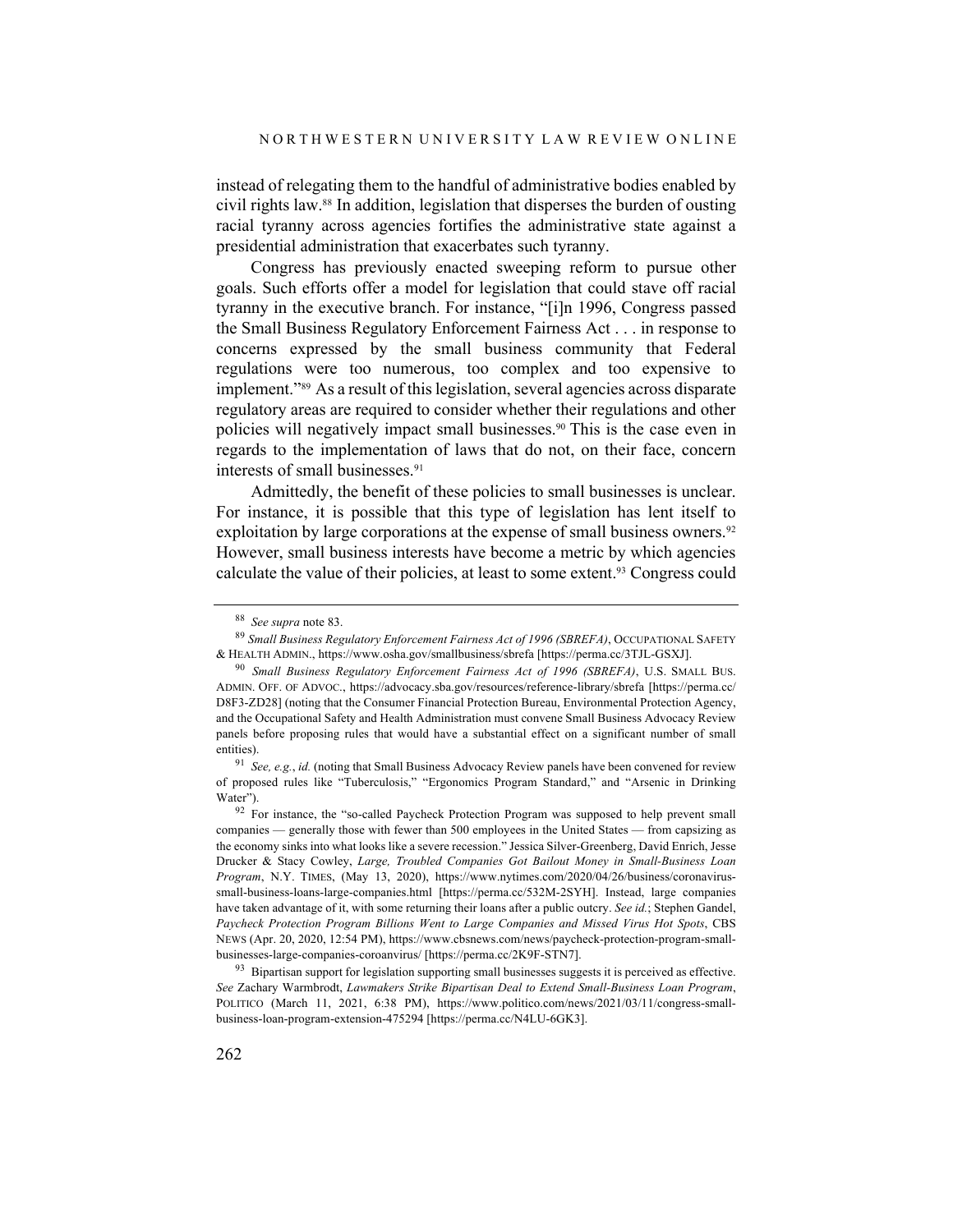instead of relegating them to the handful of administrative bodies enabled by civil rights law.88 In addition, legislation that disperses the burden of ousting racial tyranny across agencies fortifies the administrative state against a presidential administration that exacerbates such tyranny.

Congress has previously enacted sweeping reform to pursue other goals. Such efforts offer a model for legislation that could stave off racial tyranny in the executive branch. For instance, "[i]n 1996, Congress passed the Small Business Regulatory Enforcement Fairness Act . . . in response to concerns expressed by the small business community that Federal regulations were too numerous, too complex and too expensive to implement."89 As a result of this legislation, several agencies across disparate regulatory areas are required to consider whether their regulations and other policies will negatively impact small businesses.90 This is the case even in regards to the implementation of laws that do not, on their face, concern interests of small businesses. 91

Admittedly, the benefit of these policies to small businesses is unclear. For instance, it is possible that this type of legislation has lent itself to exploitation by large corporations at the expense of small business owners.<sup>92</sup> However, small business interests have become a metric by which agencies calculate the value of their policies, at least to some extent.<sup>93</sup> Congress could

<sup>88</sup> *See supra* note 83.

<sup>89</sup> *Small Business Regulatory Enforcement Fairness Act of 1996 (SBREFA)*, OCCUPATIONAL SAFETY & HEALTH ADMIN., https://www.osha.gov/smallbusiness/sbrefa [https://perma.cc/3TJL-GSXJ].

<sup>90</sup> *Small Business Regulatory Enforcement Fairness Act of 1996 (SBREFA)*, U.S. SMALL BUS. ADMIN. OFF. OF ADVOC., https://advocacy.sba.gov/resources/reference-library/sbrefa [https://perma.cc/ D8F3-ZD28] (noting that the Consumer Financial Protection Bureau, Environmental Protection Agency, and the Occupational Safety and Health Administration must convene Small Business Advocacy Review panels before proposing rules that would have a substantial effect on a significant number of small entities).

<sup>91</sup> *See, e.g.*, *id.* (noting that Small Business Advocacy Review panels have been convened for review of proposed rules like "Tuberculosis," "Ergonomics Program Standard," and "Arsenic in Drinking Water").

 $92$  For instance, the "so-called Paycheck Protection Program was supposed to help prevent small companies — generally those with fewer than 500 employees in the United States — from capsizing as the economy sinks into what looks like a severe recession." Jessica Silver-Greenberg, David Enrich, Jesse Drucker & Stacy Cowley, *Large, Troubled Companies Got Bailout Money in Small-Business Loan Program*, N.Y. TIMES, (May 13, 2020), https://www.nytimes.com/2020/04/26/business/coronavirussmall-business-loans-large-companies.html [https://perma.cc/532M-2SYH]. Instead, large companies have taken advantage of it, with some returning their loans after a public outcry. *See id.*; Stephen Gandel, *Paycheck Protection Program Billions Went to Large Companies and Missed Virus Hot Spots*, CBS NEWS (Apr. 20, 2020, 12:54 PM), https://www.cbsnews.com/news/paycheck-protection-program-smallbusinesses-large-companies-coroanvirus/ [https://perma.cc/2K9F-STN7].

<sup>&</sup>lt;sup>93</sup> Bipartisan support for legislation supporting small businesses suggests it is perceived as effective. *See* Zachary Warmbrodt, *Lawmakers Strike Bipartisan Deal to Extend Small-Business Loan Program*, POLITICO (March 11, 2021, 6:38 PM), https://www.politico.com/news/2021/03/11/congress-smallbusiness-loan-program-extension-475294 [https://perma.cc/N4LU-6GK3].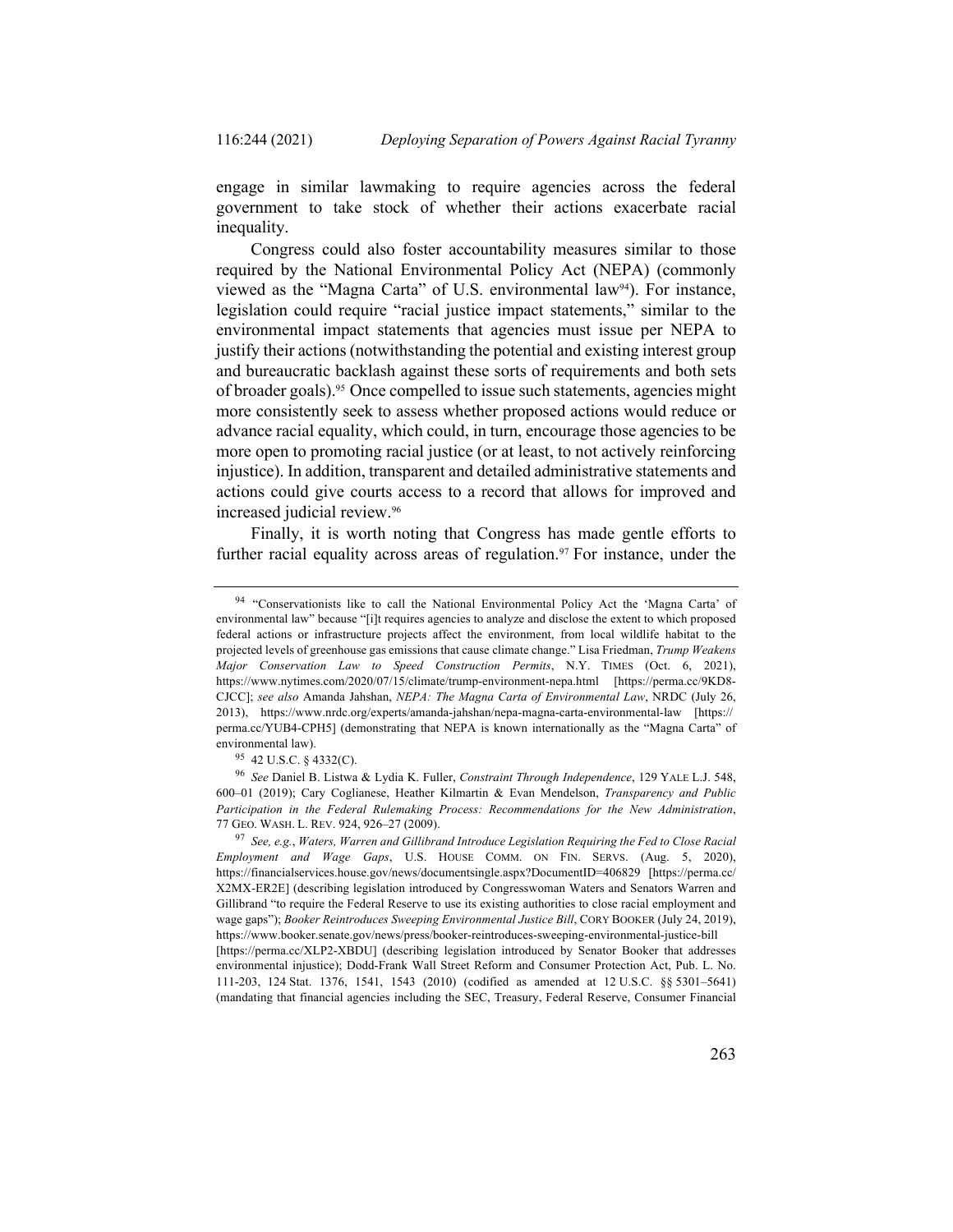engage in similar lawmaking to require agencies across the federal government to take stock of whether their actions exacerbate racial inequality.

Congress could also foster accountability measures similar to those required by the National Environmental Policy Act (NEPA) (commonly viewed as the "Magna Carta" of U.S. environmental law94). For instance, legislation could require "racial justice impact statements," similar to the environmental impact statements that agencies must issue per NEPA to justify their actions (notwithstanding the potential and existing interest group and bureaucratic backlash against these sorts of requirements and both sets of broader goals).95 Once compelled to issue such statements, agencies might more consistently seek to assess whether proposed actions would reduce or advance racial equality, which could, in turn, encourage those agencies to be more open to promoting racial justice (or at least, to not actively reinforcing injustice). In addition, transparent and detailed administrative statements and actions could give courts access to a record that allows for improved and increased judicial review.96

Finally, it is worth noting that Congress has made gentle efforts to further racial equality across areas of regulation.<sup>97</sup> For instance, under the

<sup>94</sup> "Conservationists like to call the National Environmental Policy Act the 'Magna Carta' of environmental law" because "[i]t requires agencies to analyze and disclose the extent to which proposed federal actions or infrastructure projects affect the environment, from local wildlife habitat to the projected levels of greenhouse gas emissions that cause climate change." Lisa Friedman, *Trump Weakens Major Conservation Law to Speed Construction Permits*, N.Y. TIMES (Oct. 6, 2021), https://www.nytimes.com/2020/07/15/climate/trump-environment-nepa.html [https://perma.cc/9KD8- CJCC]; *see also* Amanda Jahshan, *NEPA: The Magna Carta of Environmental Law*, NRDC (July 26, 2013), https://www.nrdc.org/experts/amanda-jahshan/nepa-magna-carta-environmental-law [https:// perma.cc/YUB4-CPH5] (demonstrating that NEPA is known internationally as the "Magna Carta" of environmental law).

<sup>95</sup> 42 U.S.C. § 4332(C).

<sup>96</sup> *See* Daniel B. Listwa & Lydia K. Fuller, *Constraint Through Independence*, 129 YALE L.J. 548, 600–01 (2019); Cary Coglianese, Heather Kilmartin & Evan Mendelson, *Transparency and Public Participation in the Federal Rulemaking Process: Recommendations for the New Administration*, 77 GEO. WASH. L. REV. 924, 926–27 (2009).

<sup>97</sup> *See, e.g.*, *Waters, Warren and Gillibrand Introduce Legislation Requiring the Fed to Close Racial Employment and Wage Gaps*, U.S. HOUSE COMM. ON FIN. SERVS. (Aug. 5, 2020), https://financialservices.house.gov/news/documentsingle.aspx?DocumentID=406829 [https://perma.cc/ X2MX-ER2E] (describing legislation introduced by Congresswoman Waters and Senators Warren and Gillibrand "to require the Federal Reserve to use its existing authorities to close racial employment and wage gaps"); *Booker Reintroduces Sweeping Environmental Justice Bill*, CORY BOOKER (July 24, 2019), https://www.booker.senate.gov/news/press/booker-reintroduces-sweeping-environmental-justice-bill [https://perma.cc/XLP2-XBDU] (describing legislation introduced by Senator Booker that addresses environmental injustice); Dodd-Frank Wall Street Reform and Consumer Protection Act, Pub. L. No. 111-203, 124 Stat. 1376, 1541, 1543 (2010) (codified as amended at 12 U.S.C. §§ 5301–5641) (mandating that financial agencies including the SEC, Treasury, Federal Reserve, Consumer Financial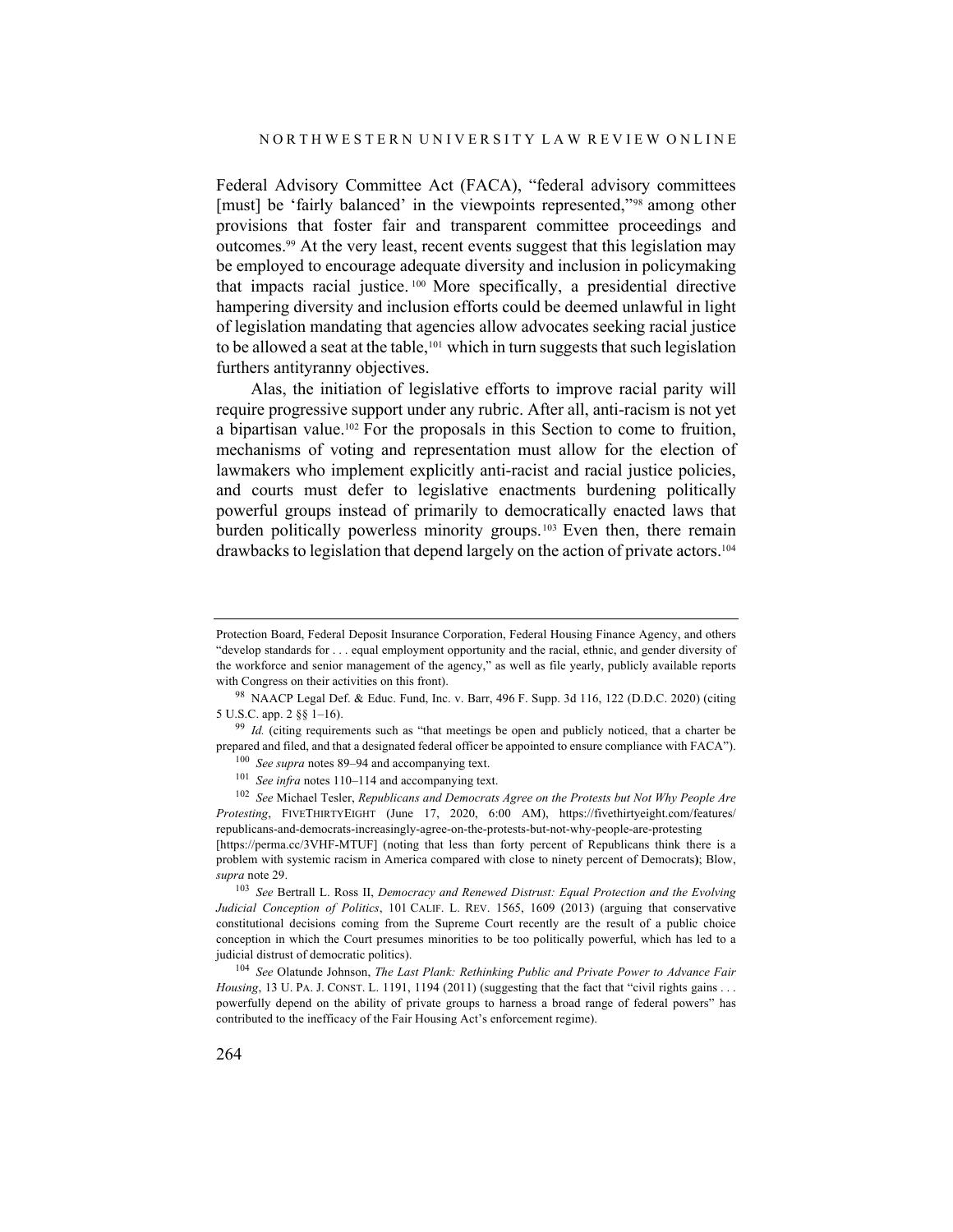Federal Advisory Committee Act (FACA), "federal advisory committees [must] be 'fairly balanced' in the viewpoints represented,"<sup>98</sup> among other provisions that foster fair and transparent committee proceedings and outcomes.99 At the very least, recent events suggest that this legislation may be employed to encourage adequate diversity and inclusion in policymaking that impacts racial justice. <sup>100</sup> More specifically, a presidential directive hampering diversity and inclusion efforts could be deemed unlawful in light of legislation mandating that agencies allow advocates seeking racial justice to be allowed a seat at the table, <sup>101</sup> which in turn suggests that such legislation furthers antityranny objectives.

Alas, the initiation of legislative efforts to improve racial parity will require progressive support under any rubric. After all, anti-racism is not yet a bipartisan value.102 For the proposals in this Section to come to fruition, mechanisms of voting and representation must allow for the election of lawmakers who implement explicitly anti-racist and racial justice policies, and courts must defer to legislative enactments burdening politically powerful groups instead of primarily to democratically enacted laws that burden politically powerless minority groups.<sup>103</sup> Even then, there remain drawbacks to legislation that depend largely on the action of private actors. 104

Protection Board, Federal Deposit Insurance Corporation, Federal Housing Finance Agency, and others "develop standards for . . . equal employment opportunity and the racial, ethnic, and gender diversity of the workforce and senior management of the agency," as well as file yearly, publicly available reports with Congress on their activities on this front).

<sup>98</sup> NAACP Legal Def. & Educ. Fund, Inc. v. Barr, 496 F. Supp. 3d 116, 122 (D.D.C. 2020) (citing 5 U.S.C. app. 2 §§ 1–16).

<sup>&</sup>lt;sup>99</sup> *Id.* (citing requirements such as "that meetings be open and publicly noticed, that a charter be prepared and filed, and that a designated federal officer be appointed to ensure compliance with FACA"). <sup>100</sup> *See supra* notes 89–94 and accompanying text.

<sup>101</sup> *See infra* notes 110–114 and accompanying text.

<sup>102</sup> *See* Michael Tesler, *Republicans and Democrats Agree on the Protests but Not Why People Are Protesting*, FIVETHIRTYEIGHT (June 17, 2020, 6:00 AM), https://fivethirtyeight.com/features/ republicans-and-democrats-increasingly-agree-on-the-protests-but-not-why-people-are-protesting

<sup>[</sup>https://perma.cc/3VHF-MTUF] (noting that less than forty percent of Republicans think there is a problem with systemic racism in America compared with close to ninety percent of Democrats**)**; Blow, *supra* note 29.

<sup>103</sup> *See* Bertrall L. Ross II, *Democracy and Renewed Distrust: Equal Protection and the Evolving Judicial Conception of Politics*, 101 CALIF. L. REV. 1565, 1609 (2013) (arguing that conservative constitutional decisions coming from the Supreme Court recently are the result of a public choice conception in which the Court presumes minorities to be too politically powerful, which has led to a judicial distrust of democratic politics).

<sup>104</sup> *See* Olatunde Johnson, *The Last Plank: Rethinking Public and Private Power to Advance Fair Housing*, 13 U. PA. J. CONST. L. 1191, 1194 (2011) (suggesting that the fact that "civil rights gains . . . powerfully depend on the ability of private groups to harness a broad range of federal powers" has contributed to the inefficacy of the Fair Housing Act's enforcement regime).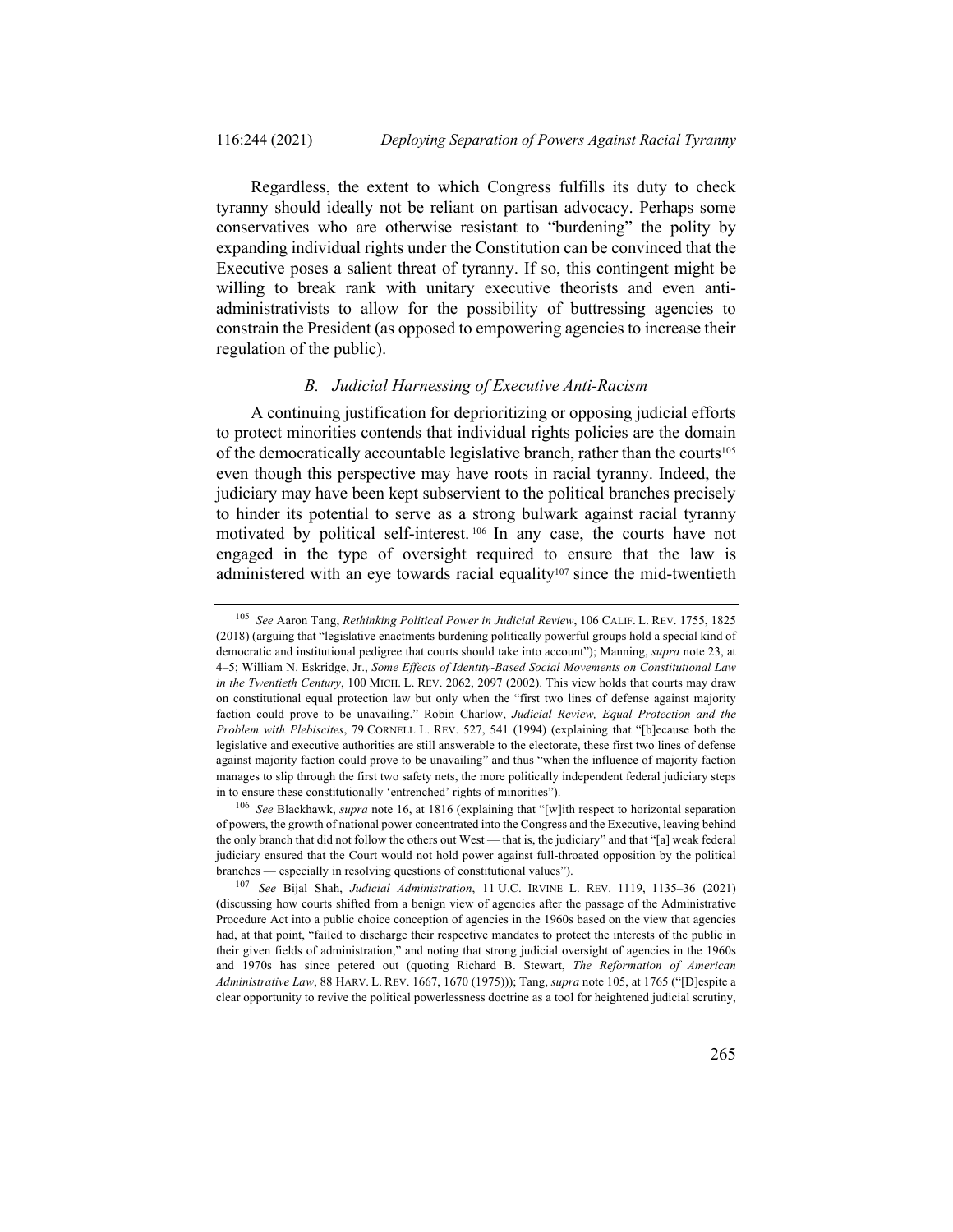Regardless, the extent to which Congress fulfills its duty to check tyranny should ideally not be reliant on partisan advocacy. Perhaps some conservatives who are otherwise resistant to "burdening" the polity by expanding individual rights under the Constitution can be convinced that the Executive poses a salient threat of tyranny. If so, this contingent might be willing to break rank with unitary executive theorists and even antiadministrativists to allow for the possibility of buttressing agencies to constrain the President (as opposed to empowering agencies to increase their regulation of the public).

## *B. Judicial Harnessing of Executive Anti-Racism*

A continuing justification for deprioritizing or opposing judicial efforts to protect minorities contends that individual rights policies are the domain of the democratically accountable legislative branch, rather than the courts<sup>105</sup> even though this perspective may have roots in racial tyranny. Indeed, the judiciary may have been kept subservient to the political branches precisely to hinder its potential to serve as a strong bulwark against racial tyranny motivated by political self-interest. <sup>106</sup> In any case, the courts have not engaged in the type of oversight required to ensure that the law is administered with an eye towards racial equality<sup>107</sup> since the mid-twentieth

<sup>105</sup> *See* Aaron Tang, *Rethinking Political Power in Judicial Review*, 106 CALIF. L. REV. 1755, 1825 (2018) (arguing that "legislative enactments burdening politically powerful groups hold a special kind of democratic and institutional pedigree that courts should take into account"); Manning, *supra* note 23, at 4–5; William N. Eskridge, Jr., *Some Effects of Identity-Based Social Movements on Constitutional Law in the Twentieth Century*, 100 MICH. L. REV. 2062, 2097 (2002). This view holds that courts may draw on constitutional equal protection law but only when the "first two lines of defense against majority faction could prove to be unavailing." Robin Charlow, *Judicial Review, Equal Protection and the Problem with Plebiscites*, 79 CORNELL L. REV. 527, 541 (1994) (explaining that "[b]ecause both the legislative and executive authorities are still answerable to the electorate, these first two lines of defense against majority faction could prove to be unavailing" and thus "when the influence of majority faction manages to slip through the first two safety nets, the more politically independent federal judiciary steps in to ensure these constitutionally 'entrenched' rights of minorities").

<sup>106</sup> *See* Blackhawk, *supra* note 16, at 1816 (explaining that "[w]ith respect to horizontal separation of powers, the growth of national power concentrated into the Congress and the Executive, leaving behind the only branch that did not follow the others out West — that is, the judiciary" and that "[a] weak federal judiciary ensured that the Court would not hold power against full-throated opposition by the political branches — especially in resolving questions of constitutional values").

<sup>107</sup> *See* Bijal Shah, *Judicial Administration*, 11 U.C. IRVINE L. REV. 1119, 1135–36 (2021) (discussing how courts shifted from a benign view of agencies after the passage of the Administrative Procedure Act into a public choice conception of agencies in the 1960s based on the view that agencies had, at that point, "failed to discharge their respective mandates to protect the interests of the public in their given fields of administration," and noting that strong judicial oversight of agencies in the 1960s and 1970s has since petered out (quoting Richard B. Stewart, *The Reformation of American Administrative Law*, 88 HARV. L. REV. 1667, 1670 (1975))); Tang, *supra* note 105, at 1765 ("[D]espite a clear opportunity to revive the political powerlessness doctrine as a tool for heightened judicial scrutiny,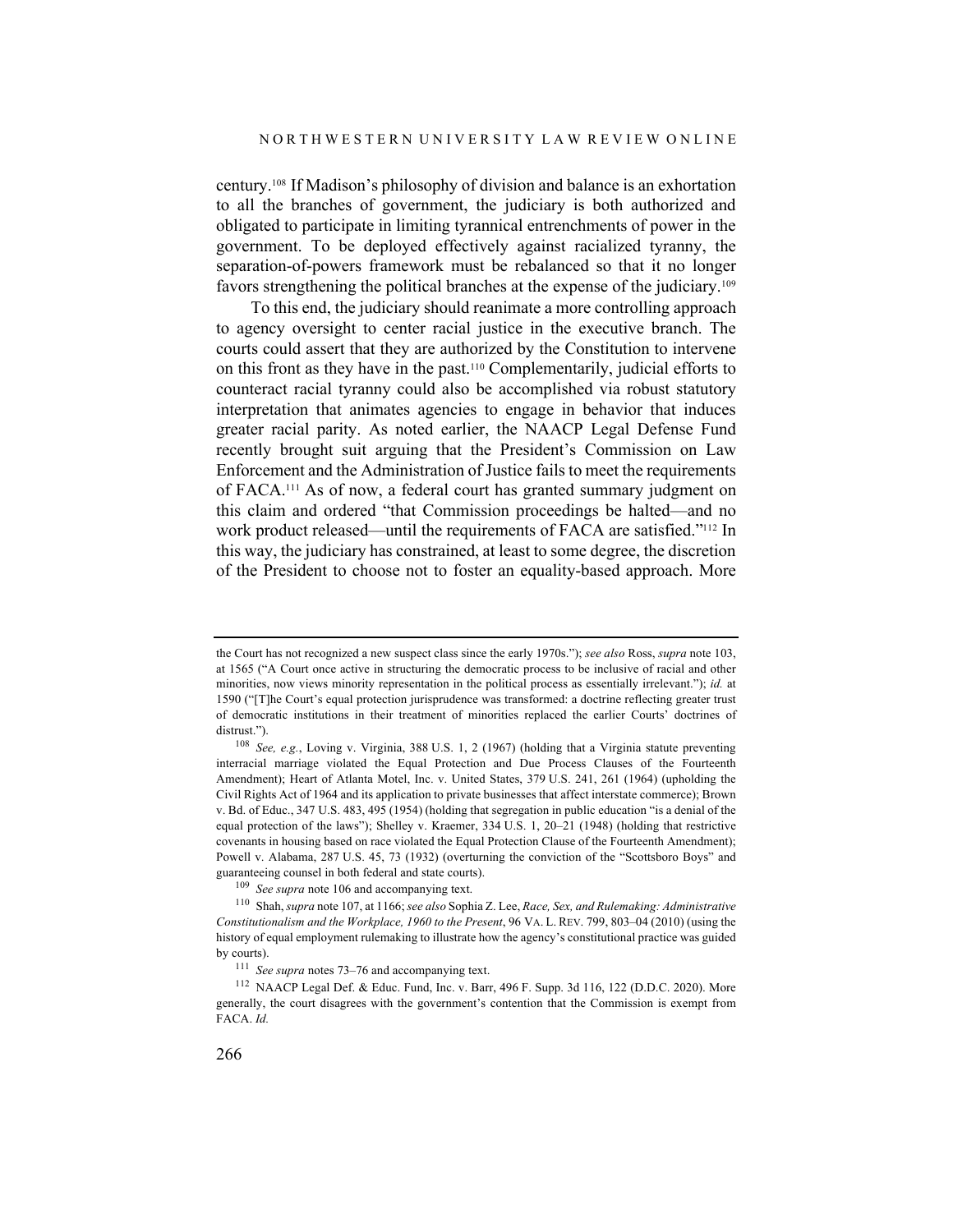century.108 If Madison's philosophy of division and balance is an exhortation to all the branches of government, the judiciary is both authorized and obligated to participate in limiting tyrannical entrenchments of power in the government. To be deployed effectively against racialized tyranny, the separation-of-powers framework must be rebalanced so that it no longer favors strengthening the political branches at the expense of the judiciary.109

To this end, the judiciary should reanimate a more controlling approach to agency oversight to center racial justice in the executive branch. The courts could assert that they are authorized by the Constitution to intervene on this front as they have in the past.110 Complementarily, judicial efforts to counteract racial tyranny could also be accomplished via robust statutory interpretation that animates agencies to engage in behavior that induces greater racial parity. As noted earlier, the NAACP Legal Defense Fund recently brought suit arguing that the President's Commission on Law Enforcement and the Administration of Justice fails to meet the requirements of FACA. <sup>111</sup> As of now, a federal court has granted summary judgment on this claim and ordered "that Commission proceedings be halted—and no work product released—until the requirements of FACA are satisfied."112 In this way, the judiciary has constrained, at least to some degree, the discretion of the President to choose not to foster an equality-based approach. More

the Court has not recognized a new suspect class since the early 1970s."); *see also* Ross, *supra* note 103, at 1565 ("A Court once active in structuring the democratic process to be inclusive of racial and other minorities, now views minority representation in the political process as essentially irrelevant."); *id.* at 1590 ("[T]he Court's equal protection jurisprudence was transformed: a doctrine reflecting greater trust of democratic institutions in their treatment of minorities replaced the earlier Courts' doctrines of distrust.").

<sup>108</sup> *See, e.g.*, Loving v. Virginia, 388 U.S. 1, 2 (1967) (holding that a Virginia statute preventing interracial marriage violated the Equal Protection and Due Process Clauses of the Fourteenth Amendment); Heart of Atlanta Motel, Inc. v. United States, 379 U.S. 241, 261 (1964) (upholding the Civil Rights Act of 1964 and its application to private businesses that affect interstate commerce); Brown v. Bd. of Educ., 347 U.S. 483, 495 (1954) (holding that segregation in public education "is a denial of the equal protection of the laws"); Shelley v. Kraemer, 334 U.S. 1, 20–21 (1948) (holding that restrictive covenants in housing based on race violated the Equal Protection Clause of the Fourteenth Amendment); Powell v. Alabama, 287 U.S. 45, 73 (1932) (overturning the conviction of the "Scottsboro Boys" and guaranteeing counsel in both federal and state courts).

<sup>109</sup> *See supra* note 106 and accompanying text.

<sup>110</sup> Shah, *supra* note 107, at 1166; *see also* Sophia Z. Lee, *Race, Sex, and Rulemaking: Administrative Constitutionalism and the Workplace, 1960 to the Present*, 96 VA. L. REV. 799, 803–04 (2010) (using the history of equal employment rulemaking to illustrate how the agency's constitutional practice was guided by courts).

<sup>111</sup> *See supra* notes 73–76 and accompanying text.

<sup>112</sup> NAACP Legal Def. & Educ. Fund, Inc. v. Barr, 496 F. Supp. 3d 116, 122 (D.D.C. 2020). More generally, the court disagrees with the government's contention that the Commission is exempt from FACA. *Id.*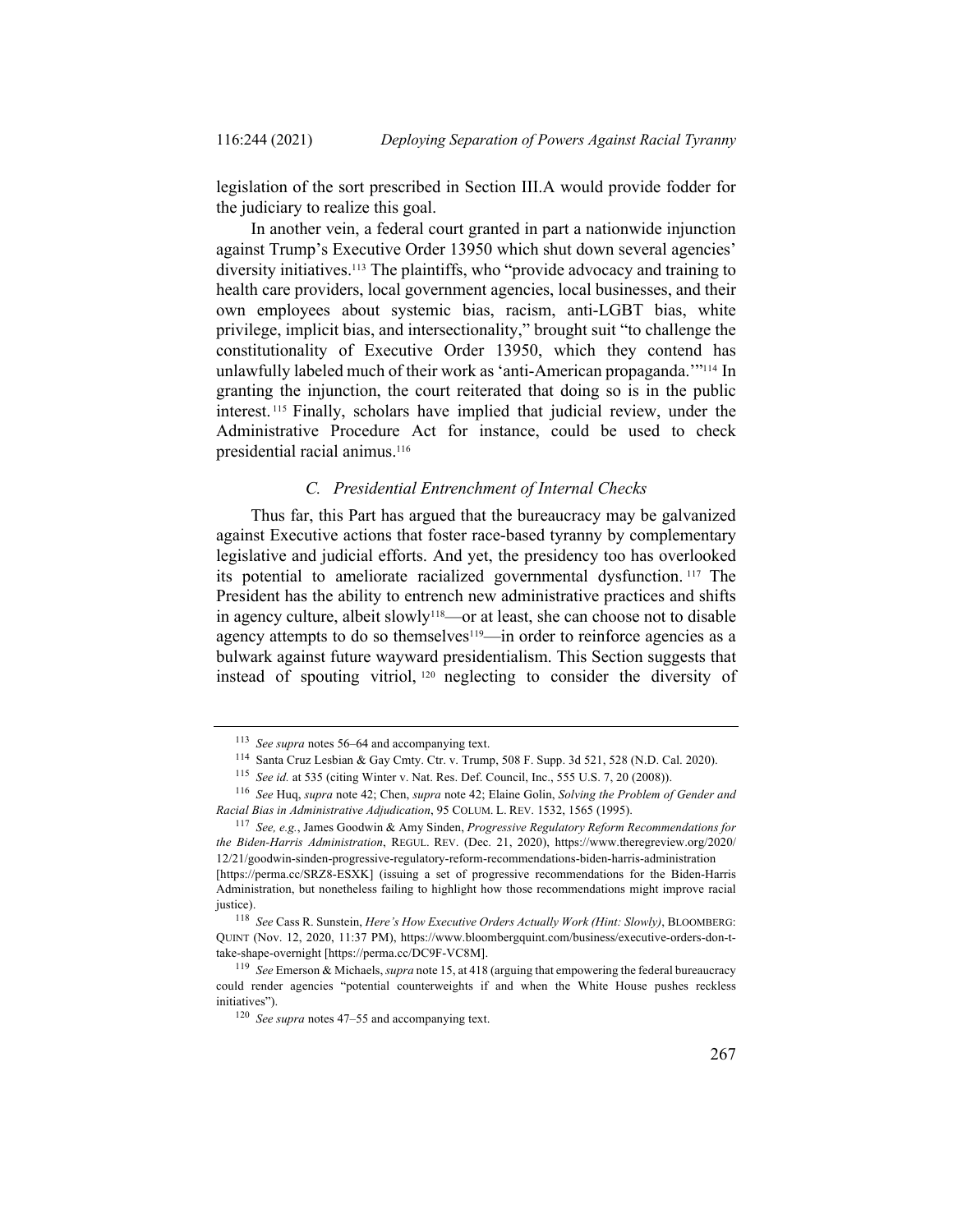legislation of the sort prescribed in Section III.A would provide fodder for the judiciary to realize this goal.

In another vein, a federal court granted in part a nationwide injunction against Trump's Executive Order 13950 which shut down several agencies' diversity initiatives. <sup>113</sup> The plaintiffs, who "provide advocacy and training to health care providers, local government agencies, local businesses, and their own employees about systemic bias, racism, anti-LGBT bias, white privilege, implicit bias, and intersectionality," brought suit "to challenge the constitutionality of Executive Order 13950, which they contend has unlawfully labeled much of their work as 'anti-American propaganda.'"114 In granting the injunction, the court reiterated that doing so is in the public interest. <sup>115</sup> Finally, scholars have implied that judicial review, under the Administrative Procedure Act for instance, could be used to check presidential racial animus.116

#### *C. Presidential Entrenchment of Internal Checks*

Thus far, this Part has argued that the bureaucracy may be galvanized against Executive actions that foster race-based tyranny by complementary legislative and judicial efforts. And yet, the presidency too has overlooked its potential to ameliorate racialized governmental dysfunction. <sup>117</sup> The President has the ability to entrench new administrative practices and shifts in agency culture, albeit slowly<sup>118</sup>—or at least, she can choose not to disable agency attempts to do so themselves<sup>119</sup>—in order to reinforce agencies as a bulwark against future wayward presidentialism. This Section suggests that instead of spouting vitriol, <sup>120</sup> neglecting to consider the diversity of

<sup>113</sup> *See supra* notes 56–64 and accompanying text.

<sup>114</sup> Santa Cruz Lesbian & Gay Cmty. Ctr. v. Trump, 508 F. Supp. 3d 521, 528 (N.D. Cal. 2020).

<sup>115</sup> *See id.* at 535 (citing Winter v. Nat. Res. Def. Council, Inc., 555 U.S. 7, 20 (2008)).

<sup>116</sup> *See* Huq, *supra* note 42; Chen, *supra* note 42; Elaine Golin, *Solving the Problem of Gender and Racial Bias in Administrative Adjudication*, 95 COLUM. L. REV. 1532, 1565 (1995).

<sup>117</sup> *See, e.g.*, James Goodwin & Amy Sinden, *Progressive Regulatory Reform Recommendations for the Biden-Harris Administration*, REGUL. REV. (Dec. 21, 2020), https://www.theregreview.org/2020/ 12/21/goodwin-sinden-progressive-regulatory-reform-recommendations-biden-harris-administration [https://perma.cc/SRZ8-ESXK] (issuing a set of progressive recommendations for the Biden-Harris

Administration, but nonetheless failing to highlight how those recommendations might improve racial justice).

<sup>118</sup> *See* Cass R. Sunstein, *Here's How Executive Orders Actually Work (Hint: Slowly)*, BLOOMBERG: QUINT (Nov. 12, 2020, 11:37 PM), https://www.bloombergquint.com/business/executive-orders-don-ttake-shape-overnight [https://perma.cc/DC9F-VC8M].

<sup>119</sup> *See* Emerson & Michaels, *supra* note 15, at 418 (arguing that empowering the federal bureaucracy could render agencies "potential counterweights if and when the White House pushes reckless initiatives").

<sup>120</sup> *See supra* notes 47–55 and accompanying text.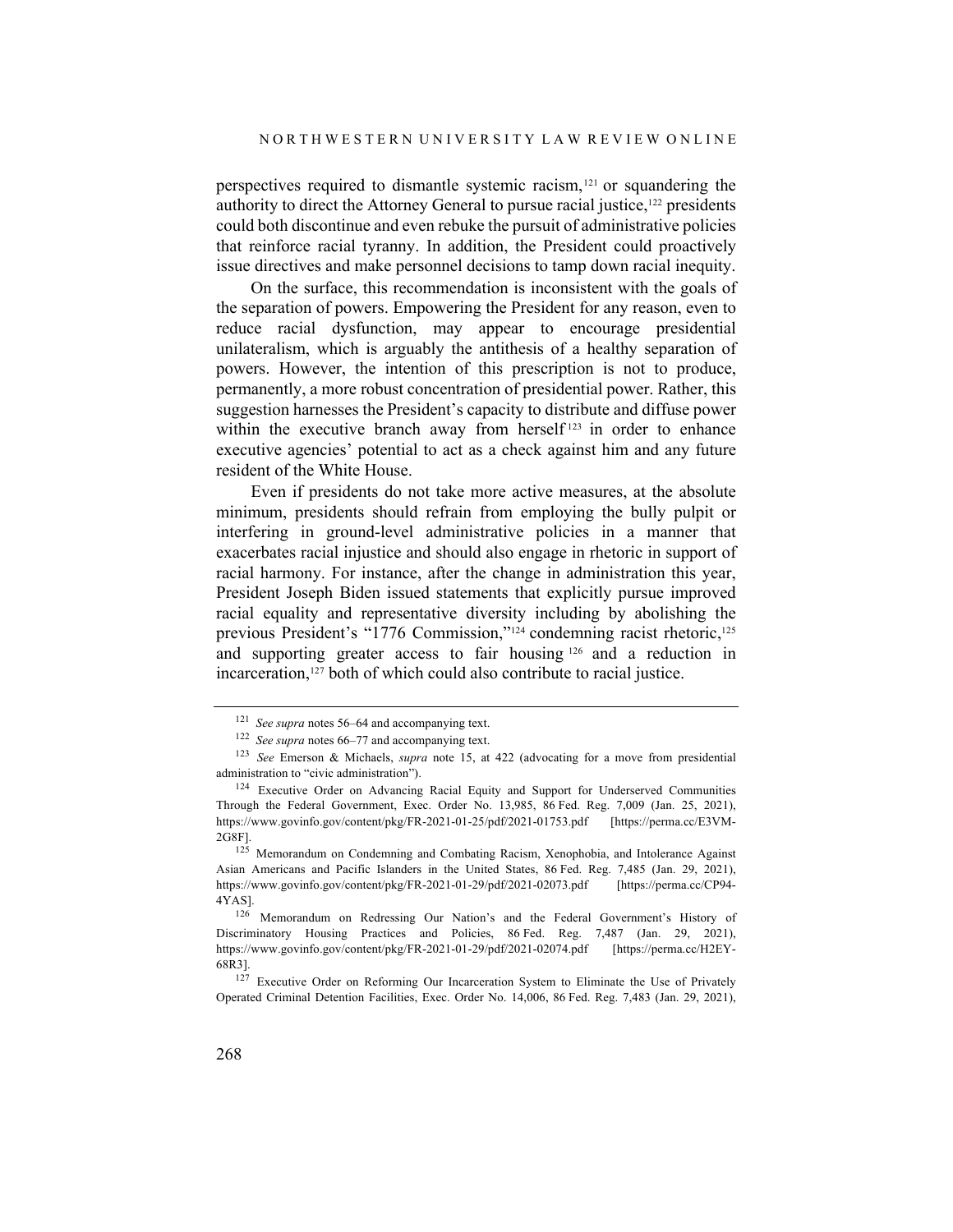perspectives required to dismantle systemic racism,<sup>121</sup> or squandering the authority to direct the Attorney General to pursue racial justice,<sup>122</sup> presidents could both discontinue and even rebuke the pursuit of administrative policies that reinforce racial tyranny. In addition, the President could proactively issue directives and make personnel decisions to tamp down racial inequity.

On the surface, this recommendation is inconsistent with the goals of the separation of powers. Empowering the President for any reason, even to reduce racial dysfunction, may appear to encourage presidential unilateralism, which is arguably the antithesis of a healthy separation of powers. However, the intention of this prescription is not to produce, permanently, a more robust concentration of presidential power. Rather, this suggestion harnesses the President's capacity to distribute and diffuse power within the executive branch away from herself<sup>123</sup> in order to enhance executive agencies' potential to act as a check against him and any future resident of the White House.

Even if presidents do not take more active measures, at the absolute minimum, presidents should refrain from employing the bully pulpit or interfering in ground-level administrative policies in a manner that exacerbates racial injustice and should also engage in rhetoric in support of racial harmony. For instance, after the change in administration this year, President Joseph Biden issued statements that explicitly pursue improved racial equality and representative diversity including by abolishing the previous President's "1776 Commission,"<sup>124</sup> condemning racist rhetoric,<sup>125</sup> and supporting greater access to fair housing <sup>126</sup> and a reduction in incarceration,<sup>127</sup> both of which could also contribute to racial justice.

<sup>121</sup> *See supra* notes 56–64 and accompanying text.

<sup>122</sup> *See supra* notes 66–77 and accompanying text.

<sup>123</sup> *See* Emerson & Michaels, *supra* note 15, at 422 (advocating for a move from presidential administration to "civic administration").

<sup>124</sup> Executive Order on Advancing Racial Equity and Support for Underserved Communities Through the Federal Government, Exec. Order No. 13,985, 86 Fed. Reg. 7,009 (Jan. 25, 2021), https://www.govinfo.gov/content/pkg/FR-2021-01-25/pdf/2021-01753.pdf [https://perma.cc/E3VM-2G8F].

<sup>&</sup>lt;sup>125</sup> Memorandum on Condemning and Combating Racism, Xenophobia, and Intolerance Against Asian Americans and Pacific Islanders in the United States, 86 Fed. Reg. 7,485 (Jan. 29, 2021), https://www.govinfo.gov/content/pkg/FR-2021-01-29/pdf/2021-02073.pdf [https://perma.cc/CP94- 4YAS].

<sup>126</sup> Memorandum on Redressing Our Nation's and the Federal Government's History of Discriminatory Housing Practices and Policies, 86 Fed. Reg. 7,487 (Jan. 29, 2021), https://www.govinfo.gov/content/pkg/FR-2021-01-29/pdf/2021-02074.pdf [https://perma.cc/H2EY-68R3].

<sup>&</sup>lt;sup>127</sup> Executive Order on Reforming Our Incarceration System to Eliminate the Use of Privately Operated Criminal Detention Facilities, Exec. Order No. 14,006, 86 Fed. Reg. 7,483 (Jan. 29, 2021),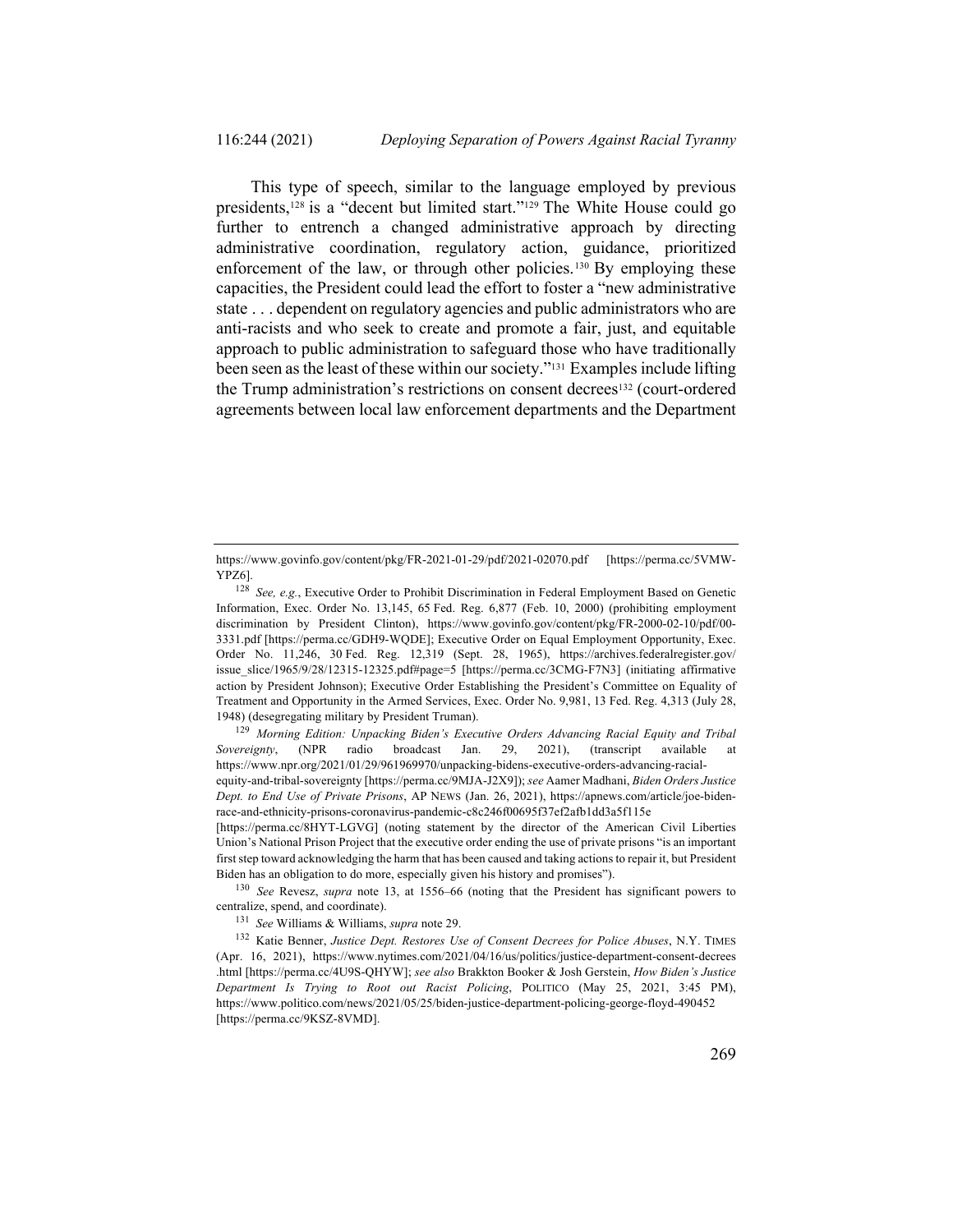This type of speech, similar to the language employed by previous presidents,128 is a "decent but limited start."129 The White House could go further to entrench a changed administrative approach by directing administrative coordination, regulatory action, guidance, prioritized enforcement of the law, or through other policies.<sup>130</sup> By employing these capacities, the President could lead the effort to foster a "new administrative state . . . dependent on regulatory agencies and public administrators who are anti-racists and who seek to create and promote a fair, just, and equitable approach to public administration to safeguard those who have traditionally been seen as the least of these within our society."131 Examples include lifting the Trump administration's restrictions on consent decrees<sup>132</sup> (court-ordered agreements between local law enforcement departments and the Department

<sup>129</sup> *Morning Edition: Unpacking Biden's Executive Orders Advancing Racial Equity and Tribal Sovereignty*, (NPR radio broadcast Jan. 29, 2021), (transcript available at https://www.npr.org/2021/01/29/961969970/unpacking-bidens-executive-orders-advancing-racialequity-and-tribal-sovereignty [https://perma.cc/9MJA-J2X9]); *see* Aamer Madhani, *Biden Orders Justice Dept. to End Use of Private Prisons*, AP NEWS (Jan. 26, 2021), https://apnews.com/article/joe-bidenrace-and-ethnicity-prisons-coronavirus-pandemic-c8c246f00695f37ef2afb1dd3a5f115e

[https://perma.cc/8HYT-LGVG] (noting statement by the director of the American Civil Liberties Union's National Prison Project that the executive order ending the use of private prisons "is an important first step toward acknowledging the harm that has been caused and taking actions to repair it, but President Biden has an obligation to do more, especially given his history and promises").

<sup>130</sup> *See* Revesz, *supra* note 13, at 1556–66 (noting that the President has significant powers to centralize, spend, and coordinate).

<sup>131</sup> *See* Williams & Williams, *supra* note 29.

<sup>132</sup> Katie Benner, *Justice Dept. Restores Use of Consent Decrees for Police Abuses*, N.Y. TIMES (Apr. 16, 2021), https://www.nytimes.com/2021/04/16/us/politics/justice-department-consent-decrees .html [https://perma.cc/4U9S-QHYW]; *see also* Brakkton Booker & Josh Gerstein, *How Biden's Justice Department Is Trying to Root out Racist Policing*, POLITICO (May 25, 2021, 3:45 PM), https://www.politico.com/news/2021/05/25/biden-justice-department-policing-george-floyd-490452 [https://perma.cc/9KSZ-8VMD].

https://www.govinfo.gov/content/pkg/FR-2021-01-29/pdf/2021-02070.pdf [https://perma.cc/5VMW-YPZ6].

<sup>128</sup> *See, e.g.*, Executive Order to Prohibit Discrimination in Federal Employment Based on Genetic Information, Exec. Order No. 13,145, 65 Fed. Reg. 6,877 (Feb. 10, 2000) (prohibiting employment discrimination by President Clinton), https://www.govinfo.gov/content/pkg/FR-2000-02-10/pdf/00- 3331.pdf [https://perma.cc/GDH9-WQDE]; Executive Order on Equal Employment Opportunity, Exec. Order No. 11,246, 30 Fed. Reg. 12,319 (Sept. 28, 1965), https://archives.federalregister.gov/ issue\_slice/1965/9/28/12315-12325.pdf#page=5 [https://perma.cc/3CMG-F7N3] (initiating affirmative action by President Johnson); Executive Order Establishing the President's Committee on Equality of Treatment and Opportunity in the Armed Services, Exec. Order No. 9,981, 13 Fed. Reg. 4,313 (July 28, 1948) (desegregating military by President Truman).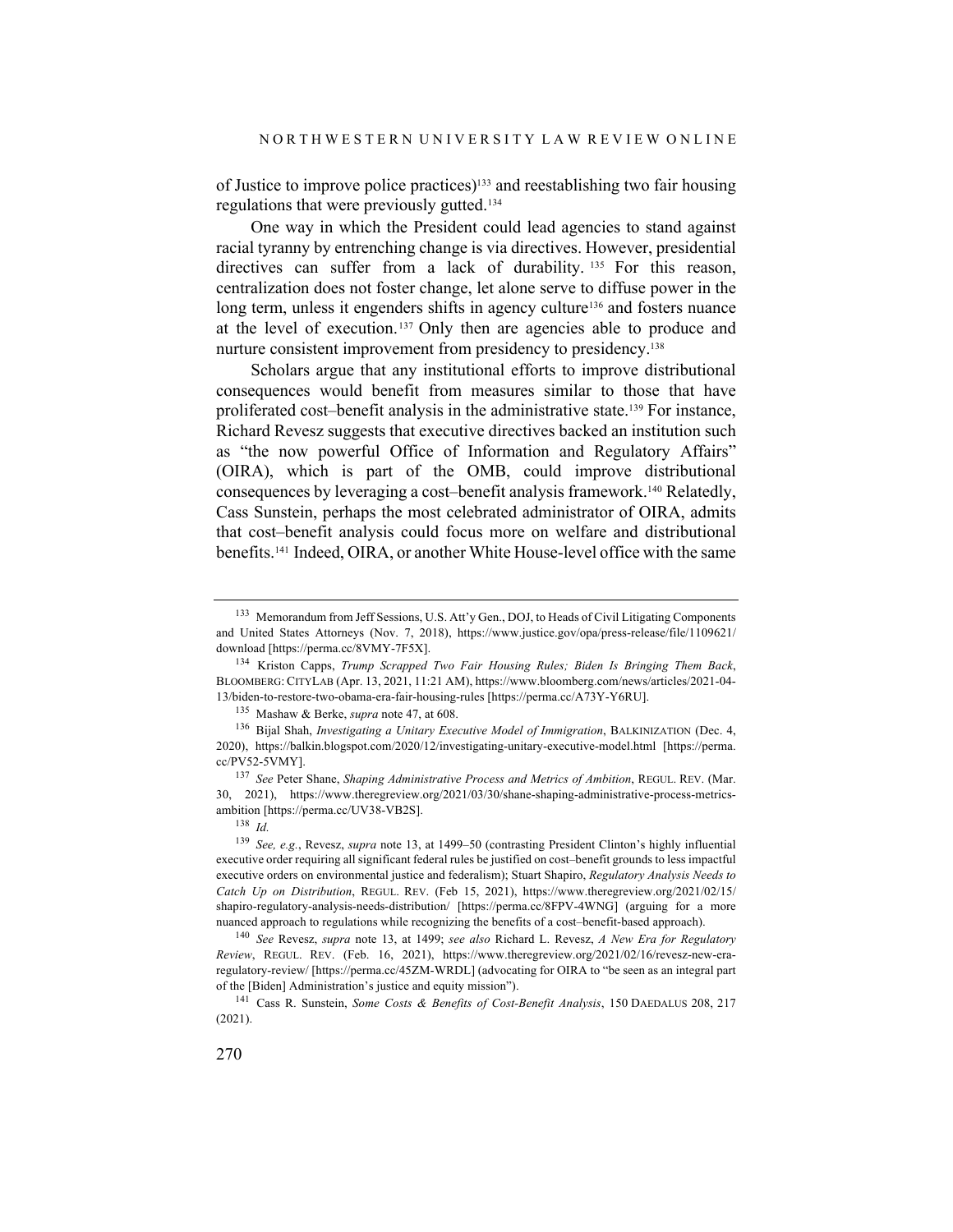of Justice to improve police practices)133 and reestablishing two fair housing regulations that were previously gutted.134

One way in which the President could lead agencies to stand against racial tyranny by entrenching change is via directives. However, presidential directives can suffer from a lack of durability. <sup>135</sup> For this reason, centralization does not foster change, let alone serve to diffuse power in the long term, unless it engenders shifts in agency culture<sup>136</sup> and fosters nuance at the level of execution. <sup>137</sup> Only then are agencies able to produce and nurture consistent improvement from presidency to presidency.138

Scholars argue that any institutional efforts to improve distributional consequences would benefit from measures similar to those that have proliferated cost–benefit analysis in the administrative state. <sup>139</sup> For instance, Richard Revesz suggests that executive directives backed an institution such as "the now powerful Office of Information and Regulatory Affairs" (OIRA), which is part of the OMB, could improve distributional consequences by leveraging a cost–benefit analysis framework.140 Relatedly, Cass Sunstein, perhaps the most celebrated administrator of OIRA, admits that cost–benefit analysis could focus more on welfare and distributional benefits.141 Indeed, OIRA, or another White House-level office with the same

<sup>133</sup> Memorandum from Jeff Sessions, U.S. Att'y Gen., DOJ, to Heads of Civil Litigating Components and United States Attorneys (Nov. 7, 2018), https://www.justice.gov/opa/press-release/file/1109621/ download [https://perma.cc/8VMY-7F5X].

<sup>134</sup> Kriston Capps, *Trump Scrapped Two Fair Housing Rules; Biden Is Bringing Them Back*, BLOOMBERG: CITYLAB (Apr. 13, 2021, 11:21 AM), https://www.bloomberg.com/news/articles/2021-04- 13/biden-to-restore-two-obama-era-fair-housing-rules [https://perma.cc/A73Y-Y6RU].

<sup>135</sup> Mashaw & Berke, *supra* note 47, at 608.

<sup>136</sup> Bijal Shah, *Investigating a Unitary Executive Model of Immigration*, BALKINIZATION (Dec. 4, 2020), https://balkin.blogspot.com/2020/12/investigating-unitary-executive-model.html [https://perma. cc/PV52-5VMY].

<sup>137</sup> *See* Peter Shane, *Shaping Administrative Process and Metrics of Ambition*, REGUL. REV. (Mar. 30, 2021), https://www.theregreview.org/2021/03/30/shane-shaping-administrative-process-metricsambition [https://perma.cc/UV38-VB2S].

<sup>138</sup> *Id.*

<sup>139</sup> *See, e.g.*, Revesz, *supra* note 13, at 1499–50 (contrasting President Clinton's highly influential executive order requiring all significant federal rules be justified on cost–benefit grounds to less impactful executive orders on environmental justice and federalism); Stuart Shapiro, *Regulatory Analysis Needs to Catch Up on Distribution*, REGUL. REV. (Feb 15, 2021), https://www.theregreview.org/2021/02/15/ shapiro-regulatory-analysis-needs-distribution/ [https://perma.cc/8FPV-4WNG] (arguing for a more nuanced approach to regulations while recognizing the benefits of a cost–benefit-based approach).

<sup>140</sup> *See* Revesz, *supra* note 13, at 1499; *see also* Richard L. Revesz, *A New Era for Regulatory Review*, REGUL. REV. (Feb. 16, 2021), https://www.theregreview.org/2021/02/16/revesz-new-eraregulatory-review/ [https://perma.cc/45ZM-WRDL] (advocating for OIRA to "be seen as an integral part of the [Biden] Administration's justice and equity mission").

<sup>141</sup> Cass R. Sunstein, *Some Costs & Benefits of Cost-Benefit Analysis*, 150 DAEDALUS 208, 217 (2021).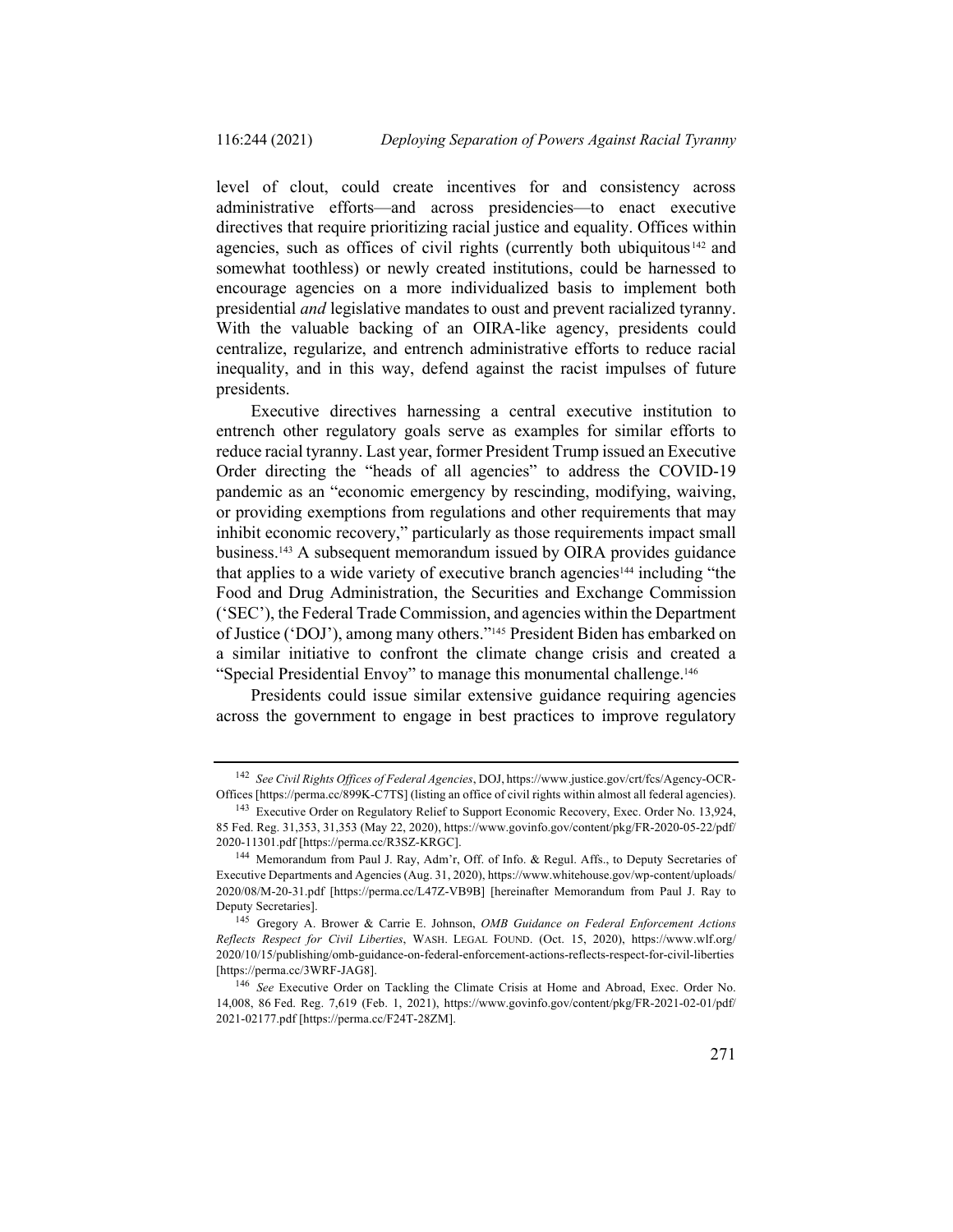level of clout, could create incentives for and consistency across administrative efforts—and across presidencies—to enact executive directives that require prioritizing racial justice and equality. Offices within agencies, such as offices of civil rights (currently both ubiquitous <sup>142</sup> and somewhat toothless) or newly created institutions, could be harnessed to encourage agencies on a more individualized basis to implement both presidential *and* legislative mandates to oust and prevent racialized tyranny. With the valuable backing of an OIRA-like agency, presidents could centralize, regularize, and entrench administrative efforts to reduce racial inequality, and in this way, defend against the racist impulses of future presidents.

Executive directives harnessing a central executive institution to entrench other regulatory goals serve as examples for similar efforts to reduce racial tyranny. Last year, former President Trump issued an Executive Order directing the "heads of all agencies" to address the COVID-19 pandemic as an "economic emergency by rescinding, modifying, waiving, or providing exemptions from regulations and other requirements that may inhibit economic recovery," particularly as those requirements impact small business.143 A subsequent memorandum issued by OIRA provides guidance that applies to a wide variety of executive branch agencies144 including "the Food and Drug Administration, the Securities and Exchange Commission ('SEC'), the Federal Trade Commission, and agencies within the Department of Justice ('DOJ'), among many others."145 President Biden has embarked on a similar initiative to confront the climate change crisis and created a "Special Presidential Envoy" to manage this monumental challenge.146

Presidents could issue similar extensive guidance requiring agencies across the government to engage in best practices to improve regulatory

<sup>142</sup> *See Civil Rights Offices of Federal Agencies*, DOJ, https://www.justice.gov/crt/fcs/Agency-OCR-Offices [https://perma.cc/899K-C7TS] (listing an office of civil rights within almost all federal agencies).

<sup>&</sup>lt;sup>143</sup> Executive Order on Regulatory Relief to Support Economic Recovery, Exec. Order No. 13,924, 85 Fed. Reg. 31,353, 31,353 (May 22, 2020), https://www.govinfo.gov/content/pkg/FR-2020-05-22/pdf/ 2020-11301.pdf [https://perma.cc/R3SZ-KRGC].

<sup>144</sup> Memorandum from Paul J. Ray, Adm'r, Off. of Info. & Regul. Affs., to Deputy Secretaries of Executive Departments and Agencies (Aug. 31, 2020), https://www.whitehouse.gov/wp-content/uploads/ 2020/08/M-20-31.pdf [https://perma.cc/L47Z-VB9B] [hereinafter Memorandum from Paul J. Ray to Deputy Secretaries].

<sup>145</sup> Gregory A. Brower & Carrie E. Johnson, *OMB Guidance on Federal Enforcement Actions Reflects Respect for Civil Liberties*, WASH. LEGAL FOUND. (Oct. 15, 2020), https://www.wlf.org/ 2020/10/15/publishing/omb-guidance-on-federal-enforcement-actions-reflects-respect-for-civil-liberties [https://perma.cc/3WRF-JAG8].

<sup>146</sup> *See* Executive Order on Tackling the Climate Crisis at Home and Abroad, Exec. Order No. 14,008, 86 Fed. Reg. 7,619 (Feb. 1, 2021), https://www.govinfo.gov/content/pkg/FR-2021-02-01/pdf/ 2021-02177.pdf [https://perma.cc/F24T-28ZM].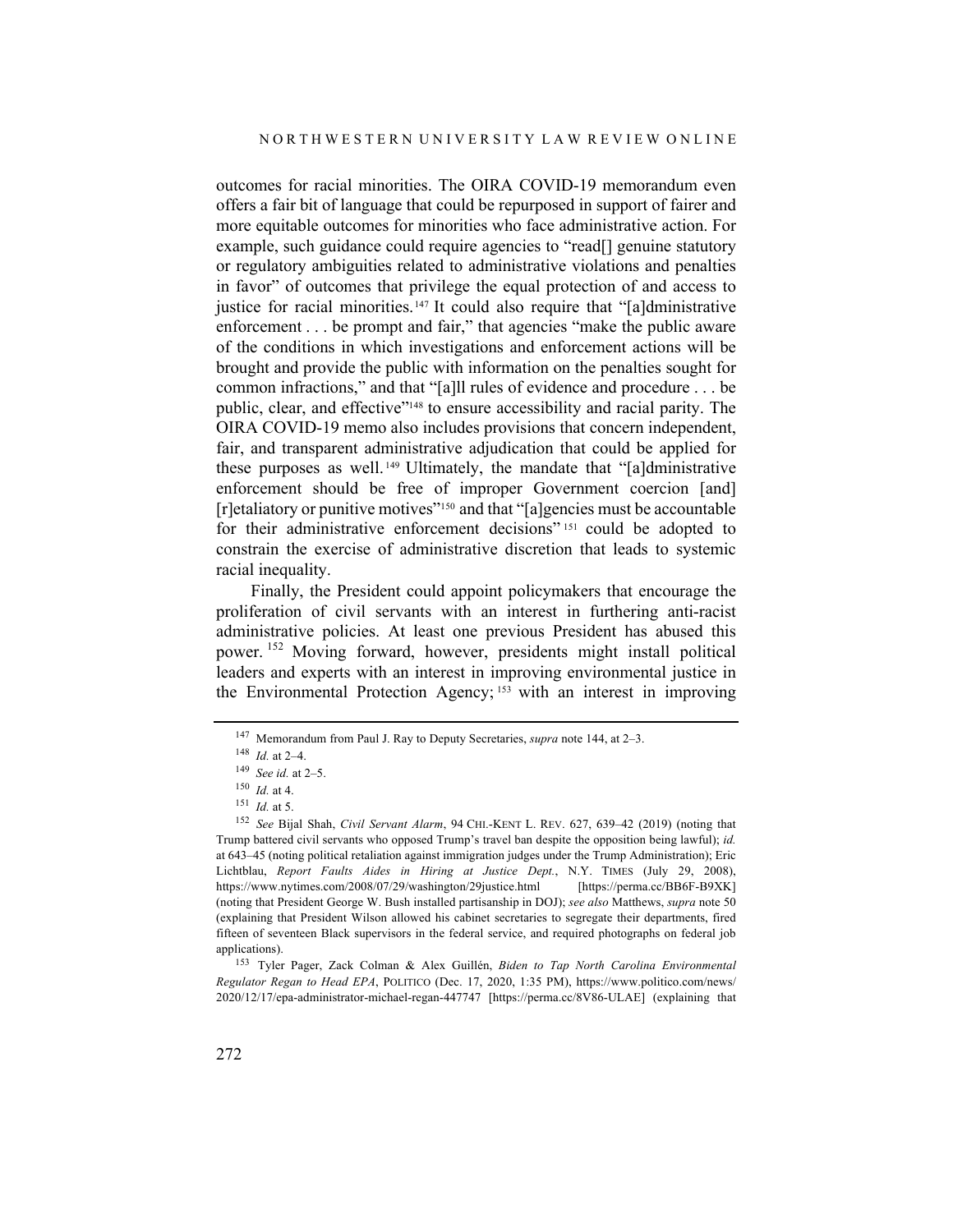outcomes for racial minorities. The OIRA COVID-19 memorandum even offers a fair bit of language that could be repurposed in support of fairer and more equitable outcomes for minorities who face administrative action. For example, such guidance could require agencies to "read[] genuine statutory or regulatory ambiguities related to administrative violations and penalties in favor" of outcomes that privilege the equal protection of and access to justice for racial minorities.<sup>147</sup> It could also require that "[a]dministrative enforcement . . . be prompt and fair," that agencies "make the public aware of the conditions in which investigations and enforcement actions will be brought and provide the public with information on the penalties sought for common infractions," and that "[a]ll rules of evidence and procedure . . . be public, clear, and effective"148 to ensure accessibility and racial parity. The OIRA COVID-19 memo also includes provisions that concern independent, fair, and transparent administrative adjudication that could be applied for these purposes as well. <sup>149</sup> Ultimately, the mandate that "[a]dministrative enforcement should be free of improper Government coercion [and] [r]etaliatory or punitive motives"150 and that "[a]gencies must be accountable for their administrative enforcement decisions"<sup>151</sup> could be adopted to constrain the exercise of administrative discretion that leads to systemic racial inequality.

Finally, the President could appoint policymakers that encourage the proliferation of civil servants with an interest in furthering anti-racist administrative policies. At least one previous President has abused this power. <sup>152</sup> Moving forward, however, presidents might install political leaders and experts with an interest in improving environmental justice in the Environmental Protection Agency; <sup>153</sup> with an interest in improving

<sup>147</sup> Memorandum from Paul J. Ray to Deputy Secretaries, *supra* note 144, at 2–3.

<sup>148</sup> *Id.* at 2–4.

<sup>149</sup> *See id.* at 2–5.

<sup>150</sup> *Id.* at 4.

 $151$  *Id.* at 5.

<sup>152</sup> *See* Bijal Shah, *Civil Servant Alarm*, 94 CHI.-KENT L. REV. 627, 639–42 (2019) (noting that Trump battered civil servants who opposed Trump's travel ban despite the opposition being lawful); *id.* at 643–45 (noting political retaliation against immigration judges under the Trump Administration); Eric Lichtblau, *Report Faults Aides in Hiring at Justice Dept.*, N.Y. TIMES (July 29, 2008), https://www.nytimes.com/2008/07/29/washington/29justice.html [https://perma.cc/BB6F-B9XK] (noting that President George W. Bush installed partisanship in DOJ); *see also* Matthews, *supra* note 50 (explaining that President Wilson allowed his cabinet secretaries to segregate their departments, fired fifteen of seventeen Black supervisors in the federal service, and required photographs on federal job applications).

<sup>153</sup> Tyler Pager, Zack Colman & Alex Guillén, *Biden to Tap North Carolina Environmental Regulator Regan to Head EPA*, POLITICO (Dec. 17, 2020, 1:35 PM), https://www.politico.com/news/ 2020/12/17/epa-administrator-michael-regan-447747 [https://perma.cc/8V86-ULAE] (explaining that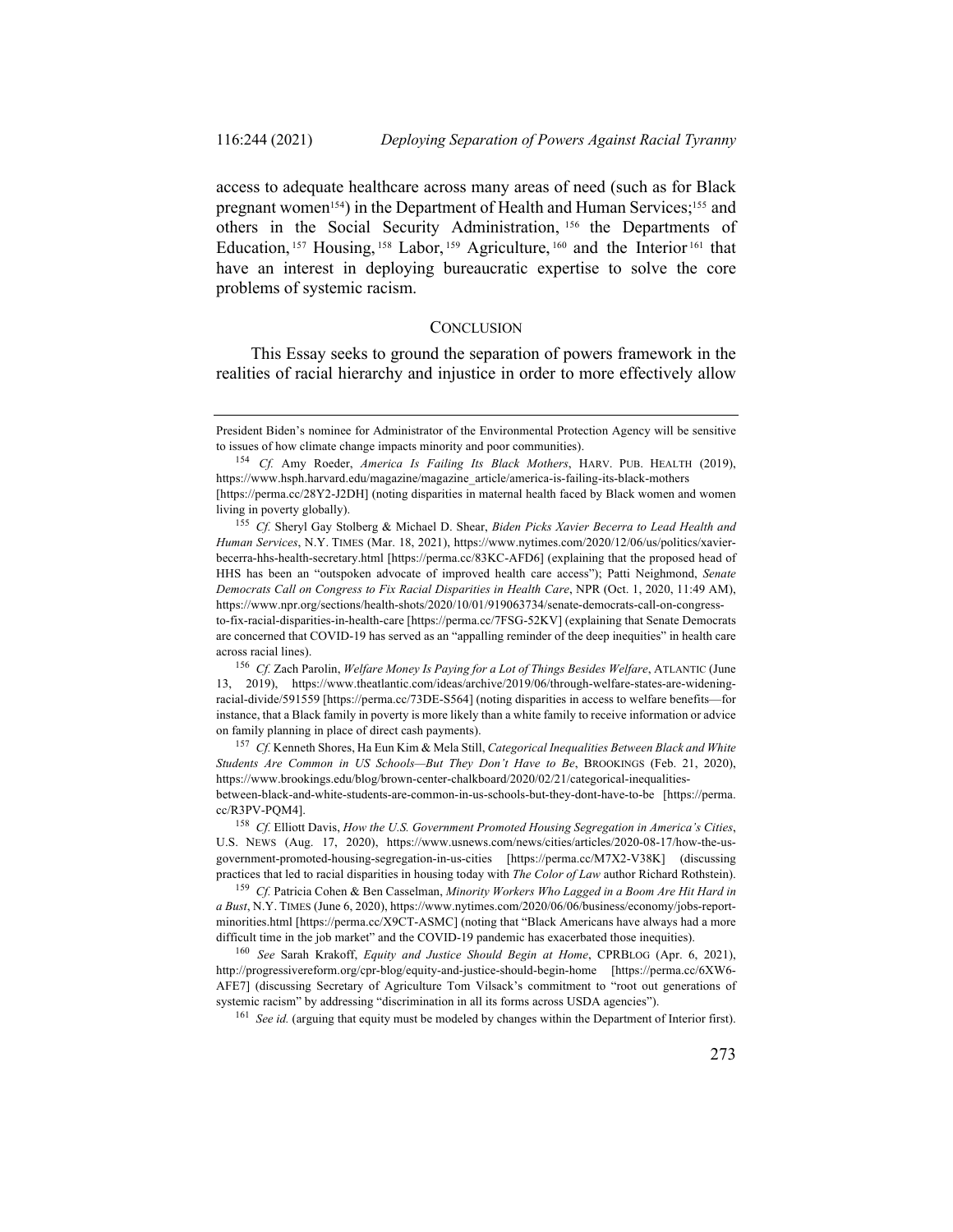access to adequate healthcare across many areas of need (such as for Black pregnant women<sup>154</sup>) in the Department of Health and Human Services;<sup>155</sup> and others in the Social Security Administration, <sup>156</sup> the Departments of Education, <sup>157</sup> Housing, <sup>158</sup> Labor, <sup>159</sup> Agriculture, <sup>160</sup> and the Interior <sup>161</sup> that have an interest in deploying bureaucratic expertise to solve the core problems of systemic racism.

#### **CONCLUSION**

This Essay seeks to ground the separation of powers framework in the realities of racial hierarchy and injustice in order to more effectively allow

<sup>155</sup> *Cf.* Sheryl Gay Stolberg & Michael D. Shear, *Biden Picks Xavier Becerra to Lead Health and Human Services*, N.Y. TIMES (Mar. 18, 2021), https://www.nytimes.com/2020/12/06/us/politics/xavierbecerra-hhs-health-secretary.html [https://perma.cc/83KC-AFD6] (explaining that the proposed head of HHS has been an "outspoken advocate of improved health care access"); Patti Neighmond, *Senate Democrats Call on Congress to Fix Racial Disparities in Health Care*, NPR (Oct. 1, 2020, 11:49 AM), https://www.npr.org/sections/health-shots/2020/10/01/919063734/senate-democrats-call-on-congressto-fix-racial-disparities-in-health-care [https://perma.cc/7FSG-52KV] (explaining that Senate Democrats are concerned that COVID-19 has served as an "appalling reminder of the deep inequities" in health care across racial lines).

<sup>156</sup> *Cf.* Zach Parolin, *Welfare Money Is Paying for a Lot of Things Besides Welfare*, ATLANTIC (June 13, 2019), https://www.theatlantic.com/ideas/archive/2019/06/through-welfare-states-are-wideningracial-divide/591559 [https://perma.cc/73DE-S564] (noting disparities in access to welfare benefits—for instance, that a Black family in poverty is more likely than a white family to receive information or advice on family planning in place of direct cash payments).

<sup>157</sup> *Cf.* Kenneth Shores, Ha Eun Kim & Mela Still, *Categorical Inequalities Between Black and White Students Are Common in US Schools—But They Don't Have to Be*, BROOKINGS (Feb. 21, 2020), https://www.brookings.edu/blog/brown-center-chalkboard/2020/02/21/categorical-inequalitiesbetween-black-and-white-students-are-common-in-us-schools-but-they-dont-have-to-be [https://perma. cc/R3PV-PQM4].

<sup>158</sup> *Cf.* Elliott Davis, *How the U.S. Government Promoted Housing Segregation in America's Cities*, U.S. NEWS (Aug. 17, 2020), https://www.usnews.com/news/cities/articles/2020-08-17/how-the-usgovernment-promoted-housing-segregation-in-us-cities [https://perma.cc/M7X2-V38K] (discussing practices that led to racial disparities in housing today with *The Color of Law* author Richard Rothstein).

<sup>159</sup> *Cf.* Patricia Cohen & Ben Casselman, *Minority Workers Who Lagged in a Boom Are Hit Hard in a Bust*, N.Y. TIMES (June 6, 2020), https://www.nytimes.com/2020/06/06/business/economy/jobs-reportminorities.html [https://perma.cc/X9CT-ASMC] (noting that "Black Americans have always had a more difficult time in the job market" and the COVID-19 pandemic has exacerbated those inequities).

<sup>160</sup> *See* Sarah Krakoff, *Equity and Justice Should Begin at Home*, CPRBLOG (Apr. 6, 2021), http://progressivereform.org/cpr-blog/equity-and-justice-should-begin-home [https://perma.cc/6XW6- AFE7] (discussing Secretary of Agriculture Tom Vilsack's commitment to "root out generations of systemic racism" by addressing "discrimination in all its forms across USDA agencies").

<sup>161</sup> *See id.* (arguing that equity must be modeled by changes within the Department of Interior first).

President Biden's nominee for Administrator of the Environmental Protection Agency will be sensitive to issues of how climate change impacts minority and poor communities).

<sup>154</sup> *Cf.* Amy Roeder, *America Is Failing Its Black Mothers*, HARV. PUB. HEALTH (2019), https://www.hsph.harvard.edu/magazine/magazine\_article/america-is-failing-its-black-mothers [https://perma.cc/28Y2-J2DH] (noting disparities in maternal health faced by Black women and women living in poverty globally).